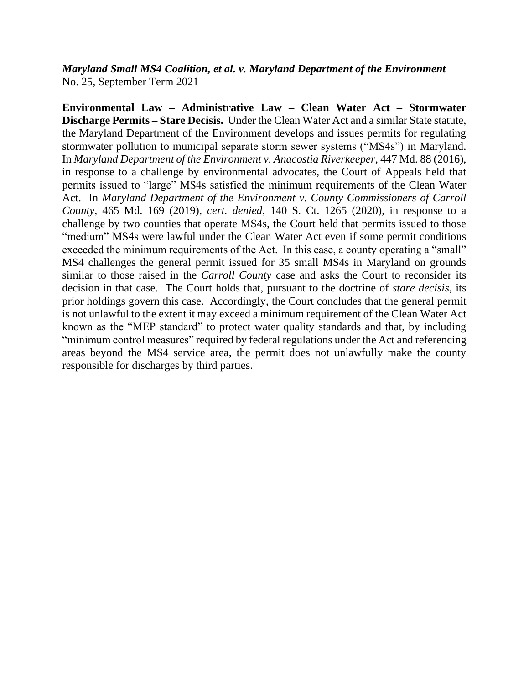*Maryland Small MS4 Coalition, et al. v. Maryland Department of the Environment* No. 25, September Term 2021

**Environmental Law – Administrative Law – Clean Water Act – Stormwater Discharge Permits – Stare Decisis.** Under the Clean Water Act and a similar State statute, the Maryland Department of the Environment develops and issues permits for regulating stormwater pollution to municipal separate storm sewer systems ("MS4s") in Maryland. In *Maryland Department of the Environment v. Anacostia Riverkeeper*, 447 Md. 88 (2016), in response to a challenge by environmental advocates, the Court of Appeals held that permits issued to "large" MS4s satisfied the minimum requirements of the Clean Water Act. In *Maryland Department of the Environment v. County Commissioners of Carroll County*, 465 Md. 169 (2019), *cert. denied*, 140 S. Ct. 1265 (2020), in response to a challenge by two counties that operate MS4s, the Court held that permits issued to those "medium" MS4s were lawful under the Clean Water Act even if some permit conditions exceeded the minimum requirements of the Act. In this case, a county operating a "small" MS4 challenges the general permit issued for 35 small MS4s in Maryland on grounds similar to those raised in the *Carroll County* case and asks the Court to reconsider its decision in that case. The Court holds that, pursuant to the doctrine of *stare decisis*, its prior holdings govern this case. Accordingly, the Court concludes that the general permit is not unlawful to the extent it may exceed a minimum requirement of the Clean Water Act known as the "MEP standard" to protect water quality standards and that, by including "minimum control measures" required by federal regulations under the Act and referencing areas beyond the MS4 service area, the permit does not unlawfully make the county responsible for discharges by third parties.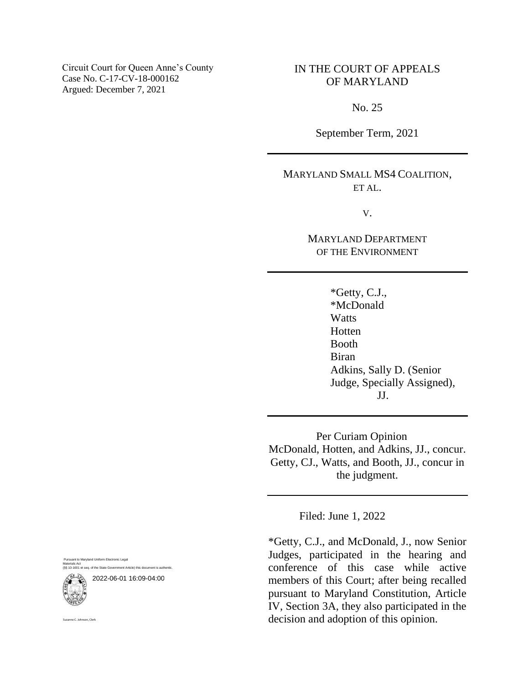Circuit Court for Queen Anne's County Case No. C-17-CV-18-000162 Argued: December 7, 2021

# IN THE COURT OF APPEALS OF MARYLAND

No. 25

September Term, 2021

MARYLAND SMALL MS4 COALITION, ET AL.

V.

MARYLAND DEPARTMENT OF THE ENVIRONMENT

> \*Getty, C.J., \*McDonald **Watts** Hotten Booth Biran Adkins, Sally D. (Senior Judge, Specially Assigned), JJ.

 Per Curiam Opinion McDonald, Hotten, and Adkins, JJ., concur. Getty, CJ., Watts, and Booth, JJ., concur in the judgment.

Filed: June 1, 2022

\*Getty, C.J., and McDonald, J., now Senior Judges, participated in the hearing and conference of this case while active members of this Court; after being recalled pursuant to Maryland Constitution, Article IV, Section 3A, they also participated in the decision and adoption of this opinion.

to Maryland Uniform Electronic Legal Materials Act (§§ 10-1601 et seq. of the State Government Article) this document is authentic.

2022-06-01 16:09-04:00



Suzanne C. Johnson, Clerk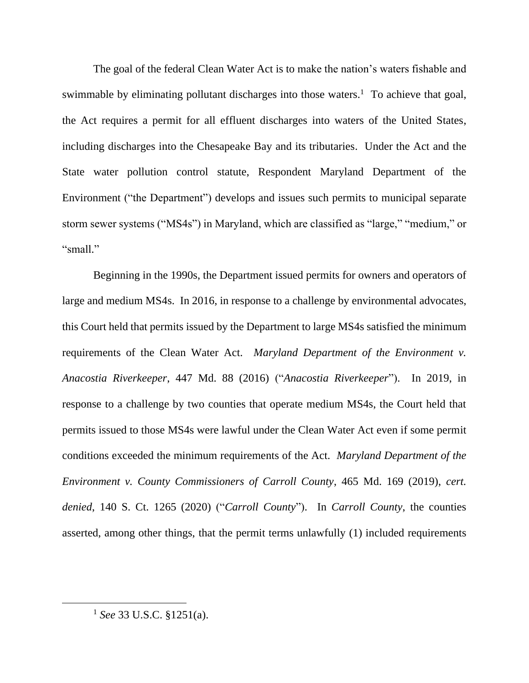The goal of the federal Clean Water Act is to make the nation's waters fishable and swimmable by eliminating pollutant discharges into those waters.<sup>1</sup> To achieve that goal, the Act requires a permit for all effluent discharges into waters of the United States, including discharges into the Chesapeake Bay and its tributaries. Under the Act and the State water pollution control statute, Respondent Maryland Department of the Environment ("the Department") develops and issues such permits to municipal separate storm sewer systems ("MS4s") in Maryland, which are classified as "large," "medium," or "small."

Beginning in the 1990s, the Department issued permits for owners and operators of large and medium MS4s. In 2016, in response to a challenge by environmental advocates, this Court held that permits issued by the Department to large MS4s satisfied the minimum requirements of the Clean Water Act. *Maryland Department of the Environment v. Anacostia Riverkeeper*, 447 Md. 88 (2016) ("*Anacostia Riverkeeper*"). In 2019, in response to a challenge by two counties that operate medium MS4s, the Court held that permits issued to those MS4s were lawful under the Clean Water Act even if some permit conditions exceeded the minimum requirements of the Act. *Maryland Department of the Environment v. County Commissioners of Carroll County*, 465 Md. 169 (2019), *cert. denied*, 140 S. Ct. 1265 (2020) ("*Carroll County*"). In *Carroll County*, the counties asserted, among other things, that the permit terms unlawfully (1) included requirements

<sup>1</sup> *See* 33 U.S.C. §1251(a).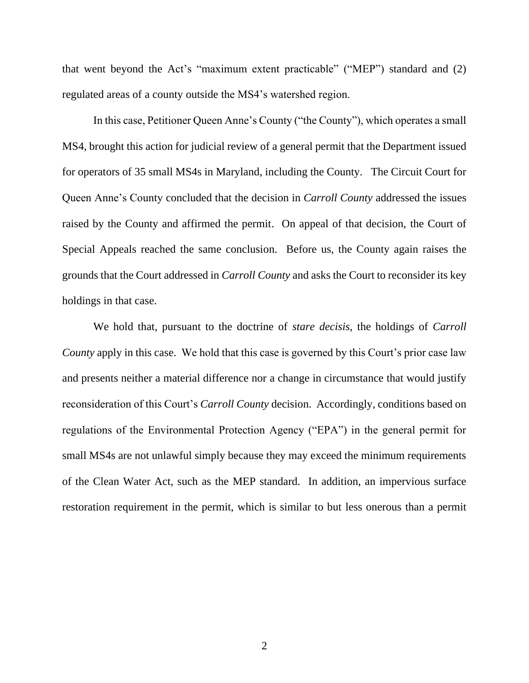that went beyond the Act's "maximum extent practicable" ("MEP") standard and (2) regulated areas of a county outside the MS4's watershed region.

In this case, Petitioner Queen Anne's County ("the County"), which operates a small MS4, brought this action for judicial review of a general permit that the Department issued for operators of 35 small MS4s in Maryland, including the County. The Circuit Court for Queen Anne's County concluded that the decision in *Carroll County* addressed the issues raised by the County and affirmed the permit. On appeal of that decision, the Court of Special Appeals reached the same conclusion. Before us, the County again raises the grounds that the Court addressed in *Carroll County* and asks the Court to reconsider its key holdings in that case.

We hold that, pursuant to the doctrine of *stare decisis*, the holdings of *Carroll County* apply in this case. We hold that this case is governed by this Court's prior case law and presents neither a material difference nor a change in circumstance that would justify reconsideration of this Court's *Carroll County* decision. Accordingly, conditions based on regulations of the Environmental Protection Agency ("EPA") in the general permit for small MS4s are not unlawful simply because they may exceed the minimum requirements of the Clean Water Act, such as the MEP standard. In addition, an impervious surface restoration requirement in the permit, which is similar to but less onerous than a permit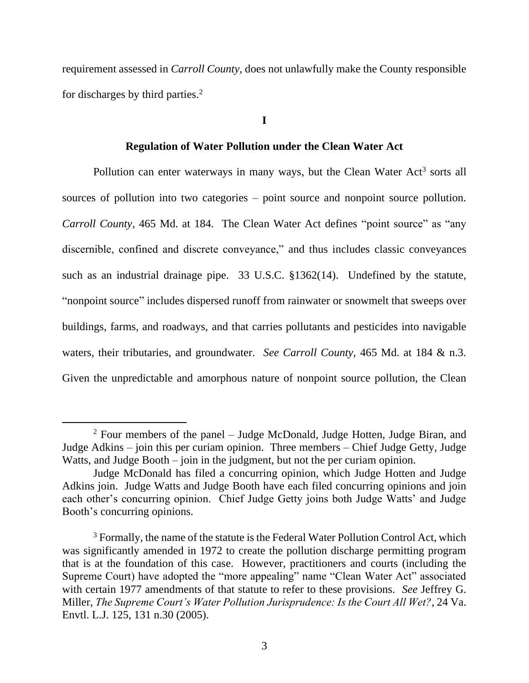requirement assessed in *Carroll County*, does not unlawfully make the County responsible for discharges by third parties.<sup>2</sup>

**I**

## **Regulation of Water Pollution under the Clean Water Act**

Pollution can enter waterways in many ways, but the Clean Water Act<sup>3</sup> sorts all sources of pollution into two categories – point source and nonpoint source pollution. *Carroll County*, 465 Md. at 184. The Clean Water Act defines "point source" as "any discernible, confined and discrete conveyance," and thus includes classic conveyances such as an industrial drainage pipe. 33 U.S.C. §1362(14). Undefined by the statute, "nonpoint source" includes dispersed runoff from rainwater or snowmelt that sweeps over buildings, farms, and roadways, and that carries pollutants and pesticides into navigable waters, their tributaries, and groundwater. *See Carroll County*, 465 Md. at 184 & n.3. Given the unpredictable and amorphous nature of nonpoint source pollution, the Clean

 $2$  Four members of the panel – Judge McDonald, Judge Hotten, Judge Biran, and Judge Adkins – join this per curiam opinion. Three members – Chief Judge Getty, Judge Watts, and Judge Booth – join in the judgment, but not the per curiam opinion.

Judge McDonald has filed a concurring opinion, which Judge Hotten and Judge Adkins join. Judge Watts and Judge Booth have each filed concurring opinions and join each other's concurring opinion. Chief Judge Getty joins both Judge Watts' and Judge Booth's concurring opinions.

<sup>&</sup>lt;sup>3</sup> Formally, the name of the statute is the Federal Water Pollution Control Act, which was significantly amended in 1972 to create the pollution discharge permitting program that is at the foundation of this case. However, practitioners and courts (including the Supreme Court) have adopted the "more appealing" name "Clean Water Act" associated with certain 1977 amendments of that statute to refer to these provisions. *See* Jeffrey G. Miller, *The Supreme Court's Water Pollution Jurisprudence: Is the Court All Wet?*, 24 Va. Envtl. L.J. 125, 131 n.30 (2005).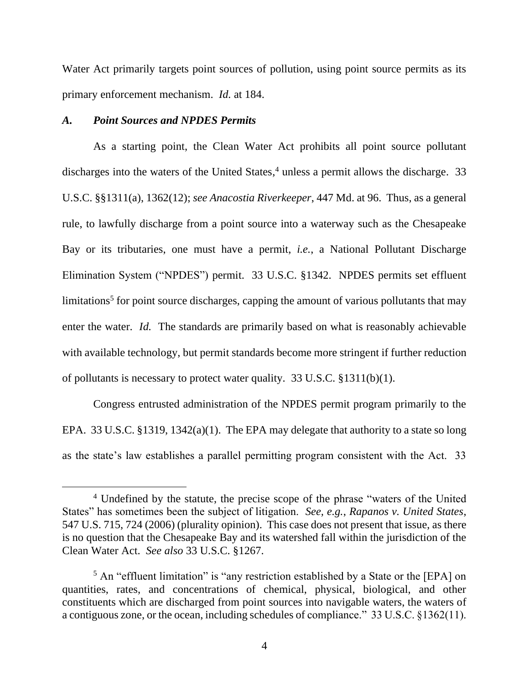Water Act primarily targets point sources of pollution, using point source permits as its primary enforcement mechanism. *Id.* at 184.

# *A. Point Sources and NPDES Permits*

As a starting point, the Clean Water Act prohibits all point source pollutant discharges into the waters of the United States, <sup>4</sup> unless a permit allows the discharge. 33 U.S.C. §§1311(a), 1362(12); *see Anacostia Riverkeeper*, 447 Md. at 96. Thus, as a general rule, to lawfully discharge from a point source into a waterway such as the Chesapeake Bay or its tributaries, one must have a permit, *i.e.*, a National Pollutant Discharge Elimination System ("NPDES") permit. 33 U.S.C. §1342. NPDES permits set effluent limitations<sup>5</sup> for point source discharges, capping the amount of various pollutants that may enter the water. *Id.* The standards are primarily based on what is reasonably achievable with available technology, but permit standards become more stringent if further reduction of pollutants is necessary to protect water quality. 33 U.S.C. §1311(b)(1).

Congress entrusted administration of the NPDES permit program primarily to the EPA. 33 U.S.C. §1319, 1342(a)(1). The EPA may delegate that authority to a state so long as the state's law establishes a parallel permitting program consistent with the Act. 33

<sup>4</sup> Undefined by the statute, the precise scope of the phrase "waters of the United States" has sometimes been the subject of litigation. *See, e.g.*, *Rapanos v. United States*, 547 U.S. 715, 724 (2006) (plurality opinion). This case does not present that issue, as there is no question that the Chesapeake Bay and its watershed fall within the jurisdiction of the Clean Water Act. *See also* 33 U.S.C. §1267.

<sup>&</sup>lt;sup>5</sup> An "effluent limitation" is "any restriction established by a State or the [EPA] on quantities, rates, and concentrations of chemical, physical, biological, and other constituents which are discharged from point sources into navigable waters, the waters of a contiguous zone, or the ocean, including schedules of compliance." 33 U.S.C. §1362(11).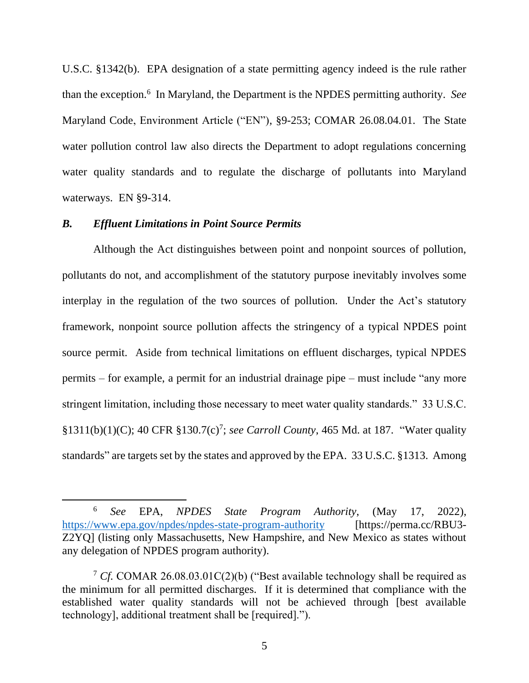U.S.C. §1342(b). EPA designation of a state permitting agency indeed is the rule rather than the exception.<sup>6</sup> In Maryland, the Department is the NPDES permitting authority. *See*  Maryland Code, Environment Article ("EN"), §9-253; COMAR 26.08.04.01. The State water pollution control law also directs the Department to adopt regulations concerning water quality standards and to regulate the discharge of pollutants into Maryland waterways. EN §9-314.

# *B. Effluent Limitations in Point Source Permits*

Although the Act distinguishes between point and nonpoint sources of pollution, pollutants do not, and accomplishment of the statutory purpose inevitably involves some interplay in the regulation of the two sources of pollution. Under the Act's statutory framework, nonpoint source pollution affects the stringency of a typical NPDES point source permit. Aside from technical limitations on effluent discharges, typical NPDES permits – for example, a permit for an industrial drainage pipe – must include "any more stringent limitation, including those necessary to meet water quality standards." 33 U.S.C. §1311(b)(1)(C); 40 CFR §130.7(c)<sup>7</sup> ; *see Carroll County*, 465 Md. at 187. "Water quality standards" are targets set by the states and approved by the EPA. 33 U.S.C. §1313. Among

<sup>6</sup> *See* EPA, *NPDES State Program Authority*, (May 17, 2022), <https://www.epa.gov/npdes/npdes-state-program-authority> [https://perma.cc/RBU3-Z2YQ] (listing only Massachusetts, New Hampshire, and New Mexico as states without any delegation of NPDES program authority).

<sup>7</sup> *Cf.* COMAR 26.08.03.01C(2)(b) ("Best available technology shall be required as the minimum for all permitted discharges. If it is determined that compliance with the established water quality standards will not be achieved through [best available technology], additional treatment shall be [required].").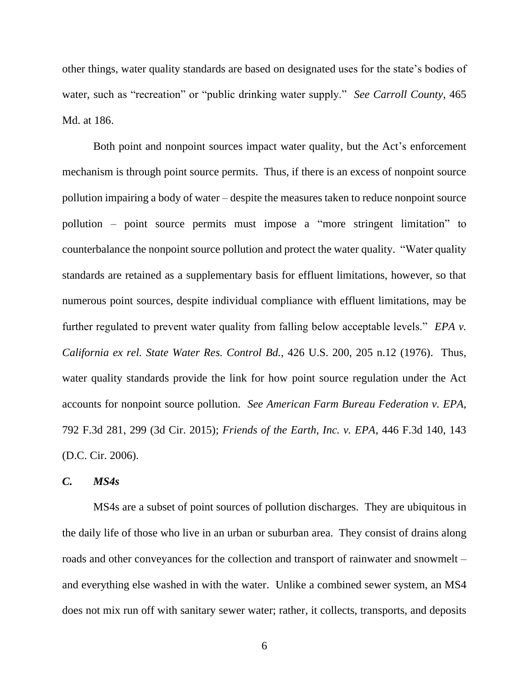other things, water quality standards are based on designated uses for the state's bodies of water, such as "recreation" or "public drinking water supply." *See Carroll County*, 465 Md. at 186.

Both point and nonpoint sources impact water quality, but the Act's enforcement mechanism is through point source permits. Thus, if there is an excess of nonpoint source pollution impairing a body of water – despite the measures taken to reduce nonpoint source pollution – point source permits must impose a "more stringent limitation" to counterbalance the nonpoint source pollution and protect the water quality. "Water quality standards are retained as a supplementary basis for effluent limitations, however, so that numerous point sources, despite individual compliance with effluent limitations, may be further regulated to prevent water quality from falling below acceptable levels." *EPA v. California ex rel. State Water Res. Control Bd.*, 426 U.S. 200, 205 n.12 (1976). Thus, water quality standards provide the link for how point source regulation under the Act accounts for nonpoint source pollution. *See American Farm Bureau Federation v. EPA*, 792 F.3d 281, 299 (3d Cir. 2015); *Friends of the Earth, Inc. v. EPA*, 446 F.3d 140, 143 (D.C. Cir. 2006).

# *C. MS4s*

MS4s are a subset of point sources of pollution discharges. They are ubiquitous in the daily life of those who live in an urban or suburban area. They consist of drains along roads and other conveyances for the collection and transport of rainwater and snowmelt – and everything else washed in with the water. Unlike a combined sewer system, an MS4 does not mix run off with sanitary sewer water; rather, it collects, transports, and deposits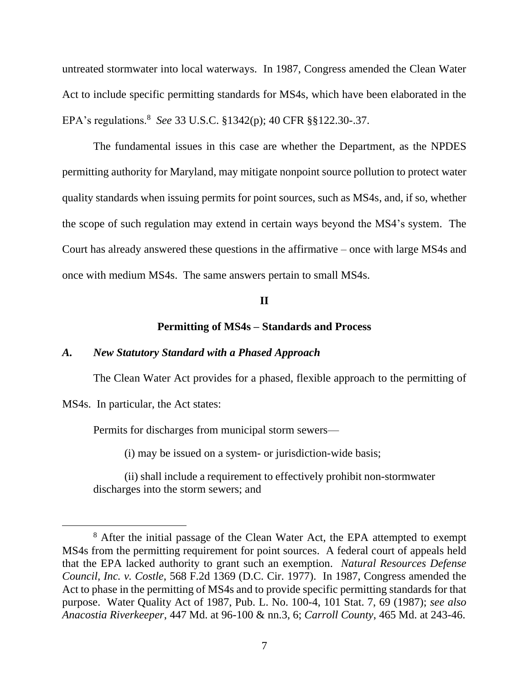untreated stormwater into local waterways. In 1987, Congress amended the Clean Water Act to include specific permitting standards for MS4s, which have been elaborated in the EPA's regulations.<sup>8</sup> *See* 33 U.S.C. §1342(p); 40 CFR §§122.30-.37.

The fundamental issues in this case are whether the Department, as the NPDES permitting authority for Maryland, may mitigate nonpoint source pollution to protect water quality standards when issuing permits for point sources, such as MS4s, and, if so, whether the scope of such regulation may extend in certain ways beyond the MS4's system. The Court has already answered these questions in the affirmative – once with large MS4s and once with medium MS4s. The same answers pertain to small MS4s.

### **II**

## **Permitting of MS4s – Standards and Process**

## *A. New Statutory Standard with a Phased Approach*

The Clean Water Act provides for a phased, flexible approach to the permitting of

MS4s. In particular, the Act states:

Permits for discharges from municipal storm sewers—

(i) may be issued on a system- or jurisdiction-wide basis;

(ii) shall include a requirement to effectively prohibit non-stormwater discharges into the storm sewers; and

<sup>8</sup> After the initial passage of the Clean Water Act, the EPA attempted to exempt MS4s from the permitting requirement for point sources. A federal court of appeals held that the EPA lacked authority to grant such an exemption. *Natural Resources Defense Council, Inc. v. Costle*, 568 F.2d 1369 (D.C. Cir. 1977). In 1987, Congress amended the Act to phase in the permitting of MS4s and to provide specific permitting standards for that purpose. Water Quality Act of 1987, Pub. L. No. 100-4, 101 Stat. 7, 69 (1987); *see also Anacostia Riverkeeper*, 447 Md. at 96-100 & nn.3, 6; *Carroll County*, 465 Md. at 243-46.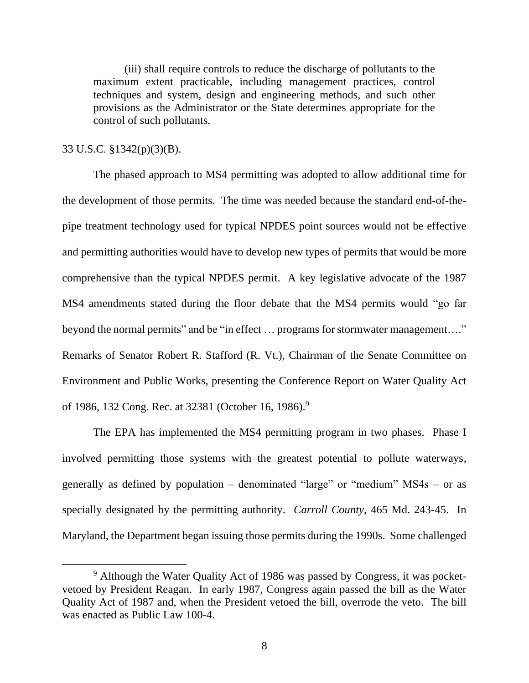(iii) shall require controls to reduce the discharge of pollutants to the maximum extent practicable, including management practices, control techniques and system, design and engineering methods, and such other provisions as the Administrator or the State determines appropriate for the control of such pollutants.

# 33 U.S.C. §1342(p)(3)(B).

The phased approach to MS4 permitting was adopted to allow additional time for the development of those permits. The time was needed because the standard end-of-thepipe treatment technology used for typical NPDES point sources would not be effective and permitting authorities would have to develop new types of permits that would be more comprehensive than the typical NPDES permit. A key legislative advocate of the 1987 MS4 amendments stated during the floor debate that the MS4 permits would "go far beyond the normal permits" and be "in effect ... programs for stormwater management..." Remarks of Senator Robert R. Stafford (R. Vt.), Chairman of the Senate Committee on Environment and Public Works, presenting the Conference Report on Water Quality Act of 1986, 132 Cong. Rec. at 32381 (October 16, 1986).<sup>9</sup>

The EPA has implemented the MS4 permitting program in two phases. Phase I involved permitting those systems with the greatest potential to pollute waterways, generally as defined by population – denominated "large" or "medium" MS4s – or as specially designated by the permitting authority. *Carroll County*, 465 Md. 243-45. In Maryland, the Department began issuing those permits during the 1990s. Some challenged

<sup>9</sup> Although the Water Quality Act of 1986 was passed by Congress, it was pocketvetoed by President Reagan. In early 1987, Congress again passed the bill as the Water Quality Act of 1987 and, when the President vetoed the bill, overrode the veto. The bill was enacted as Public Law 100-4.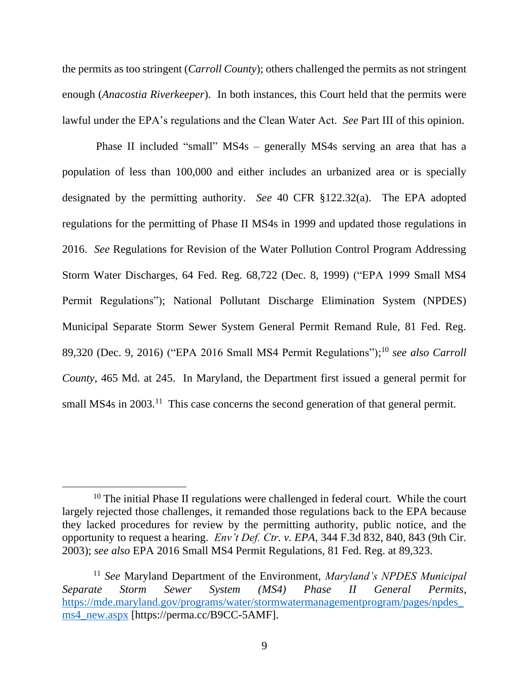the permits as too stringent (*Carroll County*); others challenged the permits as not stringent enough (*Anacostia Riverkeeper*). In both instances, this Court held that the permits were lawful under the EPA's regulations and the Clean Water Act. *See* Part III of this opinion.

Phase II included "small" MS4s – generally MS4s serving an area that has a population of less than 100,000 and either includes an urbanized area or is specially designated by the permitting authority. *See* 40 CFR §122.32(a). The EPA adopted regulations for the permitting of Phase II MS4s in 1999 and updated those regulations in 2016. *See* Regulations for Revision of the Water Pollution Control Program Addressing Storm Water Discharges, 64 Fed. Reg. 68,722 (Dec. 8, 1999) ("EPA 1999 Small MS4 Permit Regulations"); National Pollutant Discharge Elimination System (NPDES) Municipal Separate Storm Sewer System General Permit Remand Rule, 81 Fed. Reg. 89,320 (Dec. 9, 2016) ("EPA 2016 Small MS4 Permit Regulations"); <sup>10</sup> *see also Carroll County*, 465 Md. at 245. In Maryland, the Department first issued a general permit for small MS4s in 2003.<sup>11</sup> This case concerns the second generation of that general permit.

<sup>&</sup>lt;sup>10</sup> The initial Phase II regulations were challenged in federal court. While the court largely rejected those challenges, it remanded those regulations back to the EPA because they lacked procedures for review by the permitting authority, public notice, and the opportunity to request a hearing. *Env't Def. Ctr. v. EPA*, 344 F.3d 832, 840, 843 (9th Cir. 2003); *see also* EPA 2016 Small MS4 Permit Regulations, 81 Fed. Reg. at 89,323.

<sup>11</sup> *See* Maryland Department of the Environment, *Maryland's NPDES Municipal Separate Storm Sewer System (MS4) Phase II General Permits*, [https://mde.maryland.gov/programs/water/stormwatermanagementprogram/pages/npdes\\_](https://mde.maryland.gov/programs/water/stormwatermanagementprogram/pages/npdes_ms4_new.aspx) [ms4\\_new.aspx](https://mde.maryland.gov/programs/water/stormwatermanagementprogram/pages/npdes_ms4_new.aspx) [https://perma.cc/B9CC-5AMF].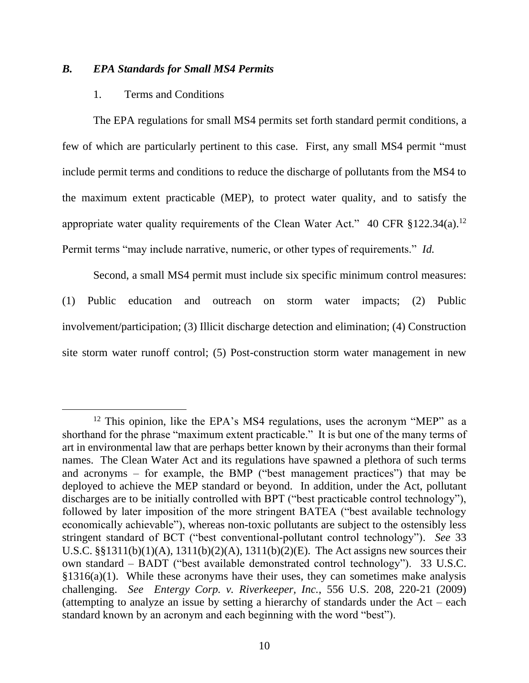# *B. EPA Standards for Small MS4 Permits*

## 1. Terms and Conditions

The EPA regulations for small MS4 permits set forth standard permit conditions, a few of which are particularly pertinent to this case. First, any small MS4 permit "must include permit terms and conditions to reduce the discharge of pollutants from the MS4 to the maximum extent practicable (MEP), to protect water quality, and to satisfy the appropriate water quality requirements of the Clean Water Act." 40 CFR  $\S 122.34(a).$ <sup>12</sup> Permit terms "may include narrative, numeric, or other types of requirements." *Id.*

Second, a small MS4 permit must include six specific minimum control measures: (1) Public education and outreach on storm water impacts; (2) Public involvement/participation; (3) Illicit discharge detection and elimination; (4) Construction site storm water runoff control; (5) Post-construction storm water management in new

<sup>&</sup>lt;sup>12</sup> This opinion, like the EPA's MS4 regulations, uses the acronym "MEP" as a shorthand for the phrase "maximum extent practicable." It is but one of the many terms of art in environmental law that are perhaps better known by their acronyms than their formal names. The Clean Water Act and its regulations have spawned a plethora of such terms and acronyms – for example, the BMP ("best management practices") that may be deployed to achieve the MEP standard or beyond. In addition, under the Act, pollutant discharges are to be initially controlled with BPT ("best practicable control technology"), followed by later imposition of the more stringent BATEA ("best available technology economically achievable"), whereas non-toxic pollutants are subject to the ostensibly less stringent standard of BCT ("best conventional-pollutant control technology"). *See* 33 U.S.C. §§1311(b)(1)(A), 1311(b)(2)(A), 1311(b)(2)(E). The Act assigns new sources their own standard – BADT ("best available demonstrated control technology"). 33 U.S.C.  $§1316(a)(1)$ . While these acronyms have their uses, they can sometimes make analysis challenging. *See Entergy Corp. v. Riverkeeper, Inc.*, 556 U.S. 208, 220-21 (2009) (attempting to analyze an issue by setting a hierarchy of standards under the  $Act - each$ standard known by an acronym and each beginning with the word "best").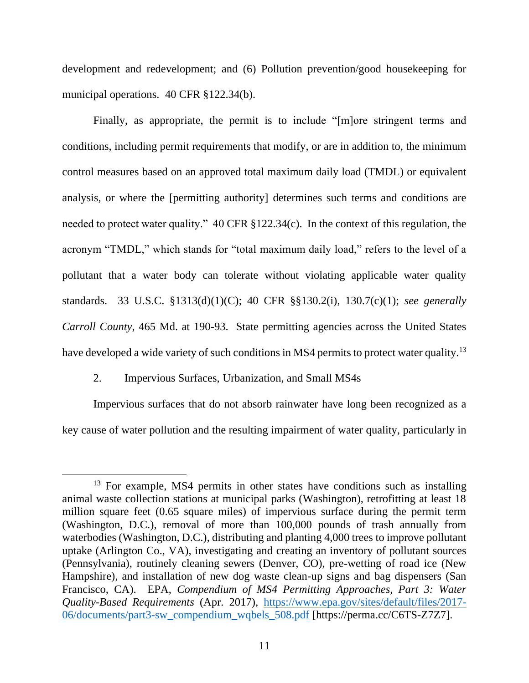development and redevelopment; and (6) Pollution prevention/good housekeeping for municipal operations. 40 CFR §122.34(b).

Finally, as appropriate, the permit is to include "[m]ore stringent terms and conditions, including permit requirements that modify, or are in addition to, the minimum control measures based on an approved total maximum daily load (TMDL) or equivalent analysis, or where the [permitting authority] determines such terms and conditions are needed to protect water quality." 40 CFR §122.34(c). In the context of this regulation, the acronym "TMDL," which stands for "total maximum daily load," refers to the level of a pollutant that a water body can tolerate without violating applicable water quality standards. 33 U.S.C. §1313(d)(1)(C); 40 CFR §§130.2(i), 130.7(c)(1); *see generally Carroll County*, 465 Md. at 190-93. State permitting agencies across the United States have developed a wide variety of such conditions in MS4 permits to protect water quality.<sup>13</sup>

# 2. Impervious Surfaces, Urbanization, and Small MS4s

Impervious surfaces that do not absorb rainwater have long been recognized as a key cause of water pollution and the resulting impairment of water quality, particularly in

<sup>&</sup>lt;sup>13</sup> For example, MS4 permits in other states have conditions such as installing animal waste collection stations at municipal parks (Washington), retrofitting at least 18 million square feet (0.65 square miles) of impervious surface during the permit term (Washington, D.C.), removal of more than 100,000 pounds of trash annually from waterbodies (Washington, D.C.), distributing and planting 4,000 trees to improve pollutant uptake (Arlington Co., VA), investigating and creating an inventory of pollutant sources (Pennsylvania), routinely cleaning sewers (Denver, CO), pre-wetting of road ice (New Hampshire), and installation of new dog waste clean-up signs and bag dispensers (San Francisco, CA). EPA, *Compendium of MS4 Permitting Approaches, Part 3: Water Quality-Based Requirements* (Apr. 2017), [https://www.epa.gov/sites/default/files/2017-](https://www.epa.gov/sites/default/files/2017-06/documents/part3-sw_compendium_wqbels_508.pdf) [06/documents/part3-sw\\_compendium\\_wqbels\\_508.pdf](https://www.epa.gov/sites/default/files/2017-06/documents/part3-sw_compendium_wqbels_508.pdf) [https://perma.cc/C6TS-Z7Z7].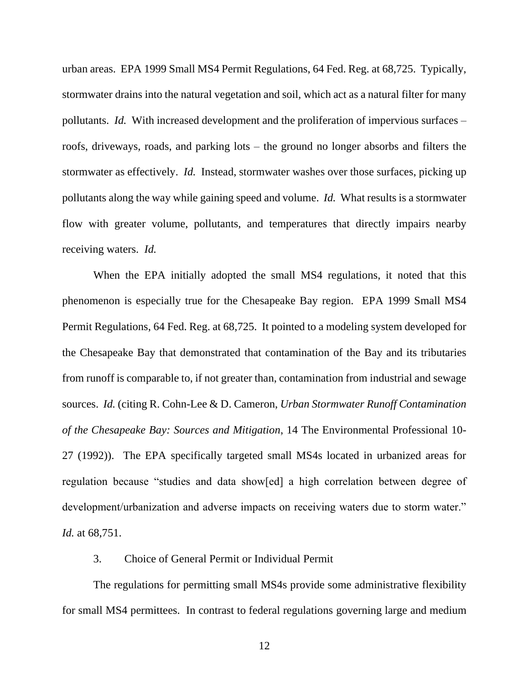urban areas. EPA 1999 Small MS4 Permit Regulations, 64 Fed. Reg. at 68,725. Typically, stormwater drains into the natural vegetation and soil, which act as a natural filter for many pollutants. *Id.* With increased development and the proliferation of impervious surfaces – roofs, driveways, roads, and parking lots – the ground no longer absorbs and filters the stormwater as effectively. *Id.* Instead, stormwater washes over those surfaces, picking up pollutants along the way while gaining speed and volume. *Id.* What results is a stormwater flow with greater volume, pollutants, and temperatures that directly impairs nearby receiving waters. *Id.*

When the EPA initially adopted the small MS4 regulations, it noted that this phenomenon is especially true for the Chesapeake Bay region. EPA 1999 Small MS4 Permit Regulations, 64 Fed. Reg. at 68,725. It pointed to a modeling system developed for the Chesapeake Bay that demonstrated that contamination of the Bay and its tributaries from runoff is comparable to, if not greater than, contamination from industrial and sewage sources. *Id.* (citing R. Cohn-Lee & D. Cameron, *Urban Stormwater Runoff Contamination of the Chesapeake Bay: Sources and Mitigation*, 14 The Environmental Professional 10- 27 (1992)). The EPA specifically targeted small MS4s located in urbanized areas for regulation because "studies and data show[ed] a high correlation between degree of development/urbanization and adverse impacts on receiving waters due to storm water." *Id.* at 68,751.

3. Choice of General Permit or Individual Permit

The regulations for permitting small MS4s provide some administrative flexibility for small MS4 permittees. In contrast to federal regulations governing large and medium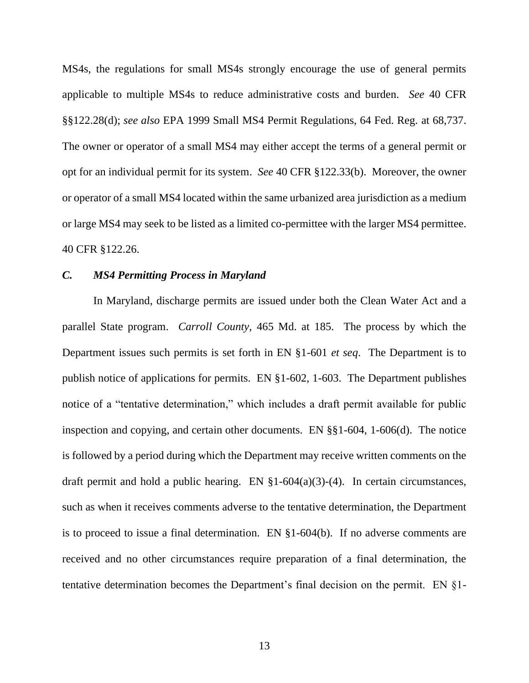MS4s, the regulations for small MS4s strongly encourage the use of general permits applicable to multiple MS4s to reduce administrative costs and burden. *See* 40 CFR §§122.28(d); *see also* EPA 1999 Small MS4 Permit Regulations, 64 Fed. Reg. at 68,737. The owner or operator of a small MS4 may either accept the terms of a general permit or opt for an individual permit for its system. *See* 40 CFR §122.33(b). Moreover, the owner or operator of a small MS4 located within the same urbanized area jurisdiction as a medium or large MS4 may seek to be listed as a limited co-permittee with the larger MS4 permittee. 40 CFR §122.26.

#### *C. MS4 Permitting Process in Maryland*

In Maryland, discharge permits are issued under both the Clean Water Act and a parallel State program. *Carroll County*, 465 Md. at 185. The process by which the Department issues such permits is set forth in EN §1-601 *et seq*. The Department is to publish notice of applications for permits. EN §1-602, 1-603. The Department publishes notice of a "tentative determination," which includes a draft permit available for public inspection and copying, and certain other documents. EN §§1-604, 1-606(d). The notice is followed by a period during which the Department may receive written comments on the draft permit and hold a public hearing. EN  $\S1-604(a)(3)-(4)$ . In certain circumstances, such as when it receives comments adverse to the tentative determination, the Department is to proceed to issue a final determination. EN §1-604(b). If no adverse comments are received and no other circumstances require preparation of a final determination, the tentative determination becomes the Department's final decision on the permit. EN §1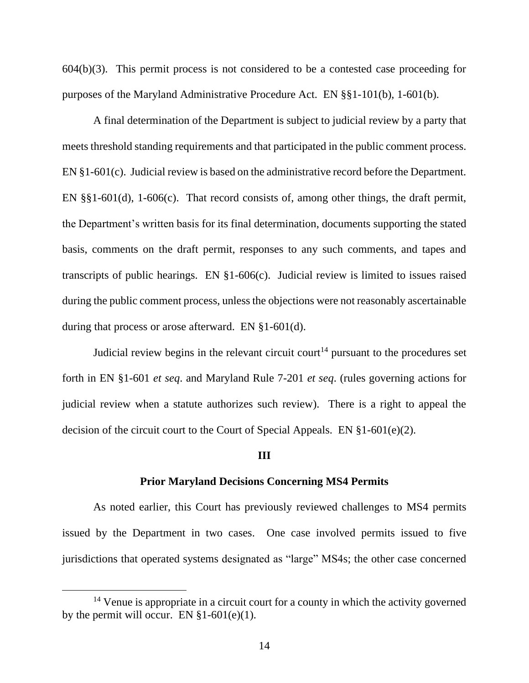604(b)(3). This permit process is not considered to be a contested case proceeding for purposes of the Maryland Administrative Procedure Act. EN §§1-101(b), 1-601(b).

A final determination of the Department is subject to judicial review by a party that meets threshold standing requirements and that participated in the public comment process. EN §1-601(c). Judicial review is based on the administrative record before the Department. EN §§1-601(d), 1-606(c). That record consists of, among other things, the draft permit, the Department's written basis for its final determination, documents supporting the stated basis, comments on the draft permit, responses to any such comments, and tapes and transcripts of public hearings. EN §1-606(c). Judicial review is limited to issues raised during the public comment process, unless the objections were not reasonably ascertainable during that process or arose afterward. EN §1-601(d).

Judicial review begins in the relevant circuit court<sup>14</sup> pursuant to the procedures set forth in EN §1-601 *et seq*. and Maryland Rule 7-201 *et seq*. (rules governing actions for judicial review when a statute authorizes such review). There is a right to appeal the decision of the circuit court to the Court of Special Appeals. EN §1-601(e)(2).

# **III**

#### **Prior Maryland Decisions Concerning MS4 Permits**

As noted earlier, this Court has previously reviewed challenges to MS4 permits issued by the Department in two cases. One case involved permits issued to five jurisdictions that operated systems designated as "large" MS4s; the other case concerned

<sup>&</sup>lt;sup>14</sup> Venue is appropriate in a circuit court for a county in which the activity governed by the permit will occur. EN  $\S1-601(e)(1)$ .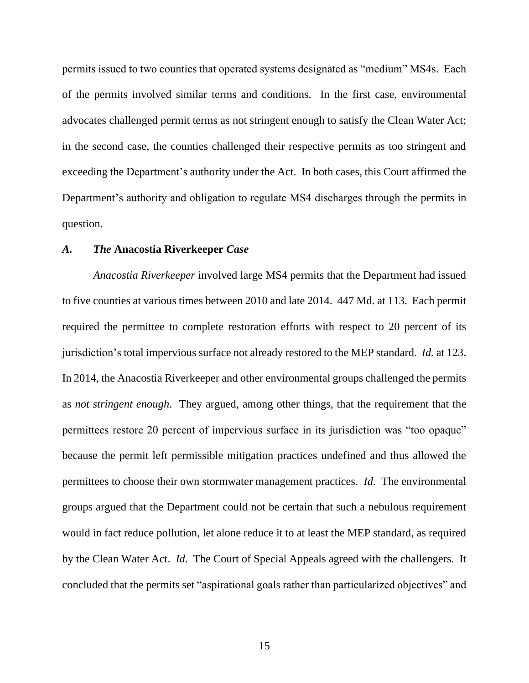permits issued to two counties that operated systems designated as "medium" MS4s. Each of the permits involved similar terms and conditions. In the first case, environmental advocates challenged permit terms as not stringent enough to satisfy the Clean Water Act; in the second case, the counties challenged their respective permits as too stringent and exceeding the Department's authority under the Act. In both cases, this Court affirmed the Department's authority and obligation to regulate MS4 discharges through the permits in question.

# *A. The* **Anacostia Riverkeeper** *Case*

*Anacostia Riverkeeper* involved large MS4 permits that the Department had issued to five counties at various times between 2010 and late 2014. 447 Md. at 113. Each permit required the permittee to complete restoration efforts with respect to 20 percent of its jurisdiction's total impervious surface not already restored to the MEP standard. *Id.* at 123. In 2014, the Anacostia Riverkeeper and other environmental groups challenged the permits as *not stringent enough*. They argued, among other things, that the requirement that the permittees restore 20 percent of impervious surface in its jurisdiction was "too opaque" because the permit left permissible mitigation practices undefined and thus allowed the permittees to choose their own stormwater management practices. *Id.* The environmental groups argued that the Department could not be certain that such a nebulous requirement would in fact reduce pollution, let alone reduce it to at least the MEP standard, as required by the Clean Water Act. *Id.* The Court of Special Appeals agreed with the challengers. It concluded that the permits set "aspirational goals rather than particularized objectives" and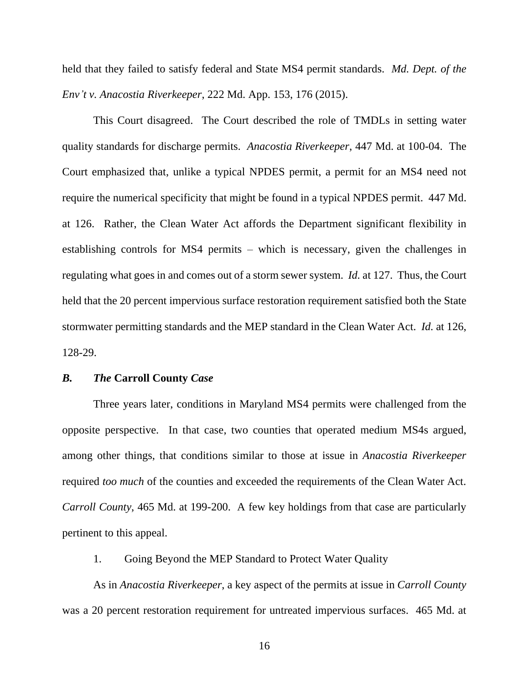held that they failed to satisfy federal and State MS4 permit standards. *Md. Dept. of the Env't v. Anacostia Riverkeeper*, 222 Md. App. 153, 176 (2015).

This Court disagreed. The Court described the role of TMDLs in setting water quality standards for discharge permits. *Anacostia Riverkeeper*, 447 Md. at 100-04. The Court emphasized that, unlike a typical NPDES permit, a permit for an MS4 need not require the numerical specificity that might be found in a typical NPDES permit. 447 Md. at 126. Rather, the Clean Water Act affords the Department significant flexibility in establishing controls for MS4 permits – which is necessary, given the challenges in regulating what goes in and comes out of a storm sewer system. *Id.* at 127. Thus, the Court held that the 20 percent impervious surface restoration requirement satisfied both the State stormwater permitting standards and the MEP standard in the Clean Water Act. *Id.* at 126, 128-29.

# *B. The* **Carroll County** *Case*

Three years later, conditions in Maryland MS4 permits were challenged from the opposite perspective. In that case, two counties that operated medium MS4s argued, among other things, that conditions similar to those at issue in *Anacostia Riverkeeper* required *too much* of the counties and exceeded the requirements of the Clean Water Act. *Carroll County*, 465 Md. at 199-200. A few key holdings from that case are particularly pertinent to this appeal.

1. Going Beyond the MEP Standard to Protect Water Quality

As in *Anacostia Riverkeeper*, a key aspect of the permits at issue in *Carroll County*  was a 20 percent restoration requirement for untreated impervious surfaces. 465 Md. at

16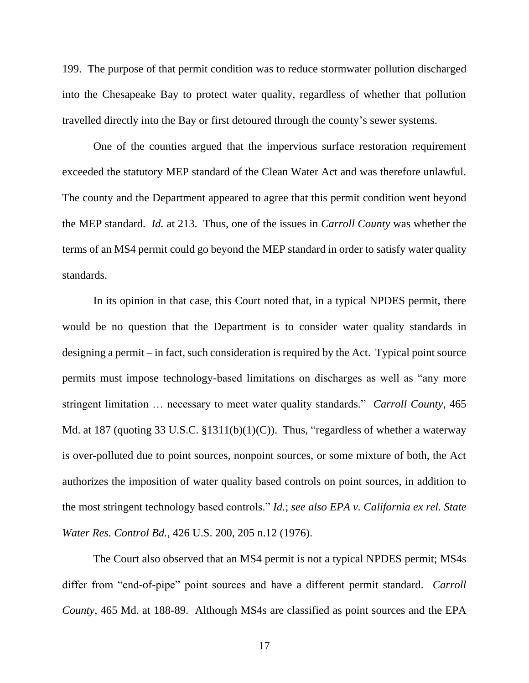199. The purpose of that permit condition was to reduce stormwater pollution discharged into the Chesapeake Bay to protect water quality, regardless of whether that pollution travelled directly into the Bay or first detoured through the county's sewer systems.

One of the counties argued that the impervious surface restoration requirement exceeded the statutory MEP standard of the Clean Water Act and was therefore unlawful. The county and the Department appeared to agree that this permit condition went beyond the MEP standard. *Id.* at 213. Thus, one of the issues in *Carroll County* was whether the terms of an MS4 permit could go beyond the MEP standard in order to satisfy water quality standards.

In its opinion in that case, this Court noted that, in a typical NPDES permit, there would be no question that the Department is to consider water quality standards in designing a permit  $-$  in fact, such consideration is required by the Act. Typical point source permits must impose technology-based limitations on discharges as well as "any more stringent limitation … necessary to meet water quality standards." *Carroll County*, 465 Md. at 187 (quoting 33 U.S.C. §1311(b)(1)(C)). Thus, "regardless of whether a waterway is over-polluted due to point sources, nonpoint sources, or some mixture of both, the Act authorizes the imposition of water quality based controls on point sources, in addition to the most stringent technology based controls." *Id.*; *see also EPA v. California ex rel. State Water Res. Control Bd.*, 426 U.S. 200, 205 n.12 (1976).

The Court also observed that an MS4 permit is not a typical NPDES permit; MS4s differ from "end-of-pipe" point sources and have a different permit standard. *Carroll County*, 465 Md. at 188-89. Although MS4s are classified as point sources and the EPA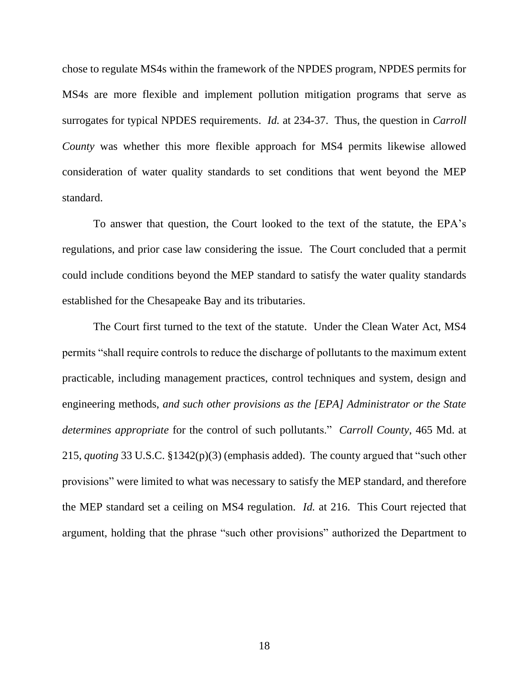chose to regulate MS4s within the framework of the NPDES program, NPDES permits for MS4s are more flexible and implement pollution mitigation programs that serve as surrogates for typical NPDES requirements. *Id.* at 234-37. Thus, the question in *Carroll County* was whether this more flexible approach for MS4 permits likewise allowed consideration of water quality standards to set conditions that went beyond the MEP standard.

To answer that question, the Court looked to the text of the statute, the EPA's regulations, and prior case law considering the issue. The Court concluded that a permit could include conditions beyond the MEP standard to satisfy the water quality standards established for the Chesapeake Bay and its tributaries.

The Court first turned to the text of the statute. Under the Clean Water Act, MS4 permits "shall require controls to reduce the discharge of pollutants to the maximum extent practicable, including management practices, control techniques and system, design and engineering methods, *and such other provisions as the [EPA] Administrator or the State determines appropriate* for the control of such pollutants." *Carroll County*, 465 Md. at 215, *quoting* 33 U.S.C. §1342(p)(3) (emphasis added). The county argued that "such other provisions" were limited to what was necessary to satisfy the MEP standard, and therefore the MEP standard set a ceiling on MS4 regulation. *Id.* at 216. This Court rejected that argument, holding that the phrase "such other provisions" authorized the Department to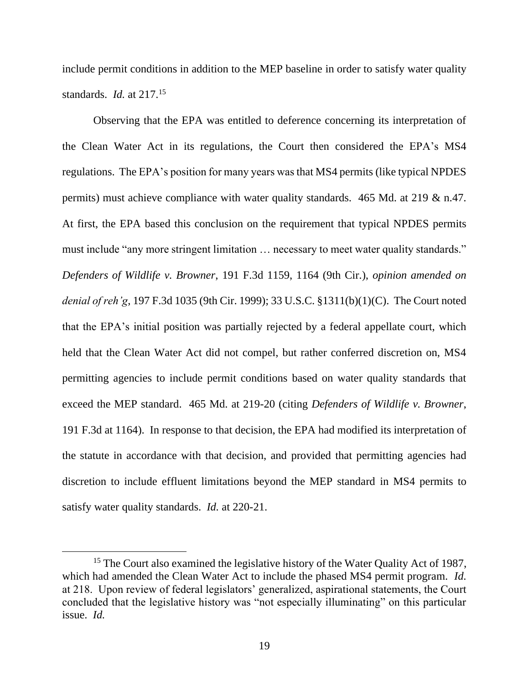include permit conditions in addition to the MEP baseline in order to satisfy water quality standards. *Id.* at 217.<sup>15</sup>

Observing that the EPA was entitled to deference concerning its interpretation of the Clean Water Act in its regulations, the Court then considered the EPA's MS4 regulations. The EPA's position for many years was that MS4 permits (like typical NPDES permits) must achieve compliance with water quality standards. 465 Md. at 219 & n.47. At first, the EPA based this conclusion on the requirement that typical NPDES permits must include "any more stringent limitation … necessary to meet water quality standards." *Defenders of Wildlife v. Browner*, 191 F.3d 1159, 1164 (9th Cir.), *opinion amended on denial of reh'g*, 197 F.3d 1035 (9th Cir. 1999); 33 U.S.C. §1311(b)(1)(C). The Court noted that the EPA's initial position was partially rejected by a federal appellate court, which held that the Clean Water Act did not compel, but rather conferred discretion on, MS4 permitting agencies to include permit conditions based on water quality standards that exceed the MEP standard. 465 Md. at 219-20 (citing *Defenders of Wildlife v. Browner*, 191 F.3d at 1164). In response to that decision, the EPA had modified its interpretation of the statute in accordance with that decision, and provided that permitting agencies had discretion to include effluent limitations beyond the MEP standard in MS4 permits to satisfy water quality standards. *Id.* at 220-21.

<sup>&</sup>lt;sup>15</sup> The Court also examined the legislative history of the Water Quality Act of 1987, which had amended the Clean Water Act to include the phased MS4 permit program. *Id.* at 218. Upon review of federal legislators' generalized, aspirational statements, the Court concluded that the legislative history was "not especially illuminating" on this particular issue. *Id.*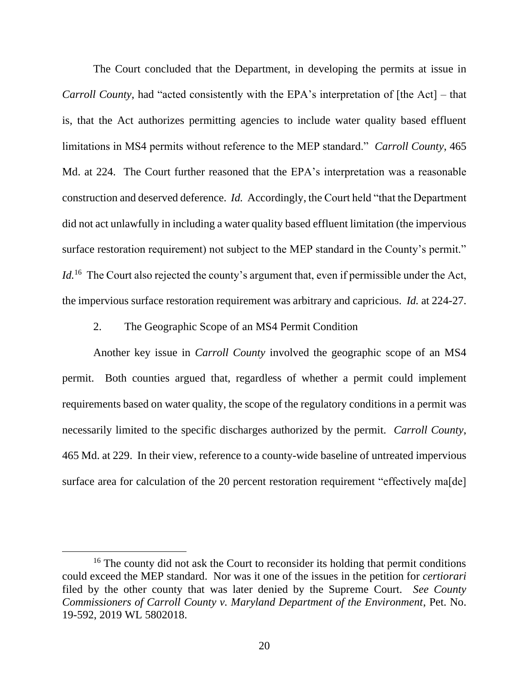The Court concluded that the Department, in developing the permits at issue in *Carroll County*, had "acted consistently with the EPA's interpretation of [the Act] – that is, that the Act authorizes permitting agencies to include water quality based effluent limitations in MS4 permits without reference to the MEP standard." *Carroll County*, 465 Md. at 224. The Court further reasoned that the EPA's interpretation was a reasonable construction and deserved deference. *Id.* Accordingly, the Court held "that the Department did not act unlawfully in including a water quality based effluent limitation (the impervious surface restoration requirement) not subject to the MEP standard in the County's permit." *Id.*<sup>16</sup> The Court also rejected the county's argument that, even if permissible under the Act, the impervious surface restoration requirement was arbitrary and capricious. *Id.* at 224-27.

# 2. The Geographic Scope of an MS4 Permit Condition

Another key issue in *Carroll County* involved the geographic scope of an MS4 permit. Both counties argued that, regardless of whether a permit could implement requirements based on water quality, the scope of the regulatory conditions in a permit was necessarily limited to the specific discharges authorized by the permit. *Carroll County*, 465 Md. at 229. In their view, reference to a county-wide baseline of untreated impervious surface area for calculation of the 20 percent restoration requirement "effectively ma<sup>[de]</sup>

<sup>&</sup>lt;sup>16</sup> The county did not ask the Court to reconsider its holding that permit conditions could exceed the MEP standard. Nor was it one of the issues in the petition for *certiorari* filed by the other county that was later denied by the Supreme Court. *See County Commissioners of Carroll County v. Maryland Department of the Environment*, Pet. No. 19-592, 2019 WL 5802018.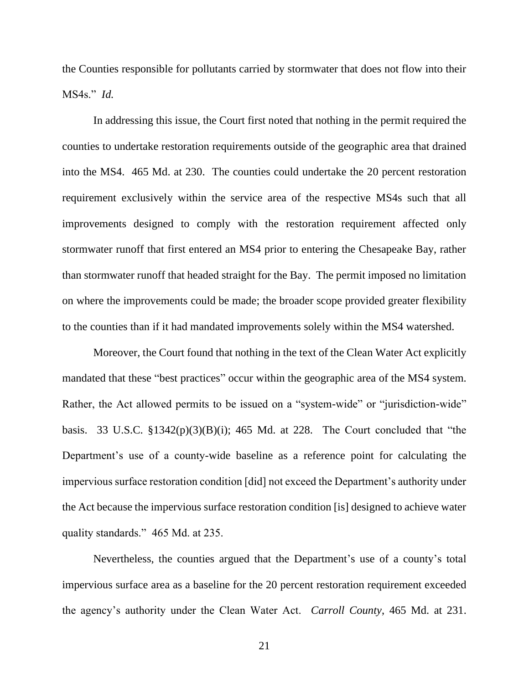the Counties responsible for pollutants carried by stormwater that does not flow into their MS4s." *Id.*

In addressing this issue, the Court first noted that nothing in the permit required the counties to undertake restoration requirements outside of the geographic area that drained into the MS4. 465 Md. at 230. The counties could undertake the 20 percent restoration requirement exclusively within the service area of the respective MS4s such that all improvements designed to comply with the restoration requirement affected only stormwater runoff that first entered an MS4 prior to entering the Chesapeake Bay, rather than stormwater runoff that headed straight for the Bay. The permit imposed no limitation on where the improvements could be made; the broader scope provided greater flexibility to the counties than if it had mandated improvements solely within the MS4 watershed.

Moreover, the Court found that nothing in the text of the Clean Water Act explicitly mandated that these "best practices" occur within the geographic area of the MS4 system. Rather, the Act allowed permits to be issued on a "system-wide" or "jurisdiction-wide" basis. 33 U.S.C.  $\S 1342(p)(3)(B)(i)$ ; 465 Md. at 228. The Court concluded that "the Department's use of a county-wide baseline as a reference point for calculating the impervious surface restoration condition [did] not exceed the Department's authority under the Act because the impervious surface restoration condition [is] designed to achieve water quality standards." 465 Md. at 235.

Nevertheless, the counties argued that the Department's use of a county's total impervious surface area as a baseline for the 20 percent restoration requirement exceeded the agency's authority under the Clean Water Act. *Carroll County*, 465 Md. at 231.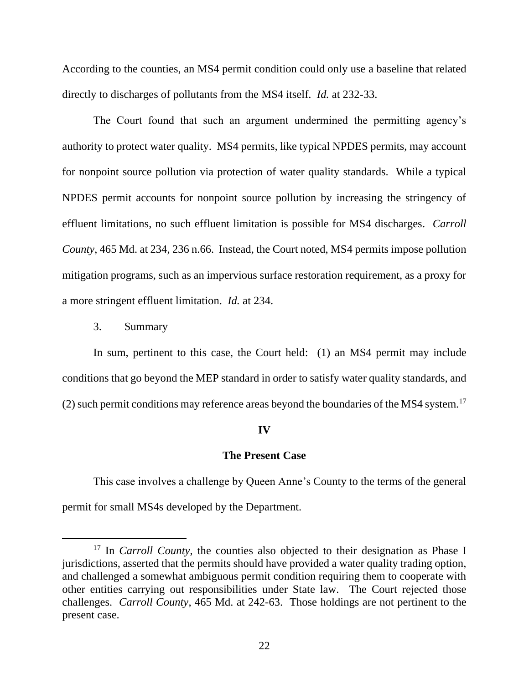According to the counties, an MS4 permit condition could only use a baseline that related directly to discharges of pollutants from the MS4 itself. *Id.* at 232-33.

The Court found that such an argument undermined the permitting agency's authority to protect water quality. MS4 permits, like typical NPDES permits, may account for nonpoint source pollution via protection of water quality standards. While a typical NPDES permit accounts for nonpoint source pollution by increasing the stringency of effluent limitations, no such effluent limitation is possible for MS4 discharges. *Carroll County*, 465 Md. at 234, 236 n.66. Instead, the Court noted, MS4 permits impose pollution mitigation programs, such as an impervious surface restoration requirement, as a proxy for a more stringent effluent limitation. *Id.* at 234.

3. Summary

In sum, pertinent to this case, the Court held: (1) an MS4 permit may include conditions that go beyond the MEP standard in order to satisfy water quality standards, and (2) such permit conditions may reference areas beyond the boundaries of the MS4 system.<sup>17</sup>

#### **IV**

### **The Present Case**

This case involves a challenge by Queen Anne's County to the terms of the general permit for small MS4s developed by the Department.

<sup>&</sup>lt;sup>17</sup> In *Carroll County*, the counties also objected to their designation as Phase I jurisdictions, asserted that the permits should have provided a water quality trading option, and challenged a somewhat ambiguous permit condition requiring them to cooperate with other entities carrying out responsibilities under State law. The Court rejected those challenges. *Carroll County*, 465 Md. at 242-63. Those holdings are not pertinent to the present case.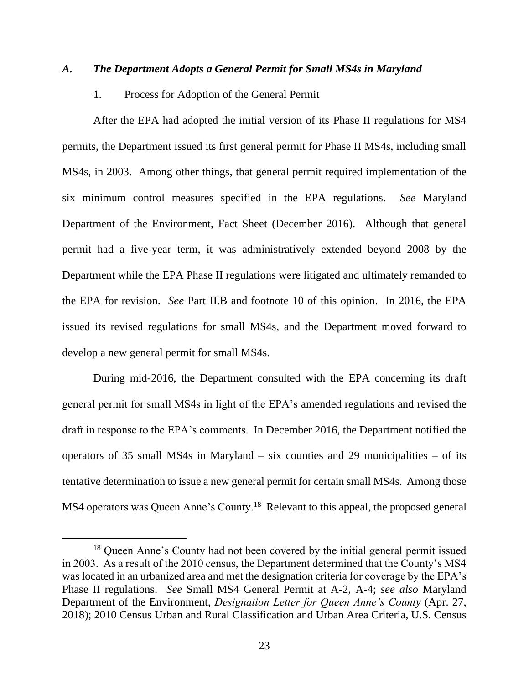# *A. The Department Adopts a General Permit for Small MS4s in Maryland*

# 1. Process for Adoption of the General Permit

After the EPA had adopted the initial version of its Phase II regulations for MS4 permits, the Department issued its first general permit for Phase II MS4s, including small MS4s, in 2003. Among other things, that general permit required implementation of the six minimum control measures specified in the EPA regulations. *See* Maryland Department of the Environment, Fact Sheet (December 2016). Although that general permit had a five-year term, it was administratively extended beyond 2008 by the Department while the EPA Phase II regulations were litigated and ultimately remanded to the EPA for revision. *See* Part II.B and footnote 10 of this opinion. In 2016, the EPA issued its revised regulations for small MS4s, and the Department moved forward to develop a new general permit for small MS4s.

During mid-2016, the Department consulted with the EPA concerning its draft general permit for small MS4s in light of the EPA's amended regulations and revised the draft in response to the EPA's comments. In December 2016, the Department notified the operators of 35 small MS4s in Maryland – six counties and 29 municipalities – of its tentative determination to issue a new general permit for certain small MS4s. Among those MS4 operators was Queen Anne's County.<sup>18</sup> Relevant to this appeal, the proposed general

<sup>&</sup>lt;sup>18</sup> Queen Anne's County had not been covered by the initial general permit issued in 2003. As a result of the 2010 census, the Department determined that the County's MS4 was located in an urbanized area and met the designation criteria for coverage by the EPA's Phase II regulations. *See* Small MS4 General Permit at A-2, A-4; *see also* Maryland Department of the Environment, *Designation Letter for Queen Anne's County* (Apr. 27, 2018); 2010 Census Urban and Rural Classification and Urban Area Criteria, U.S. Census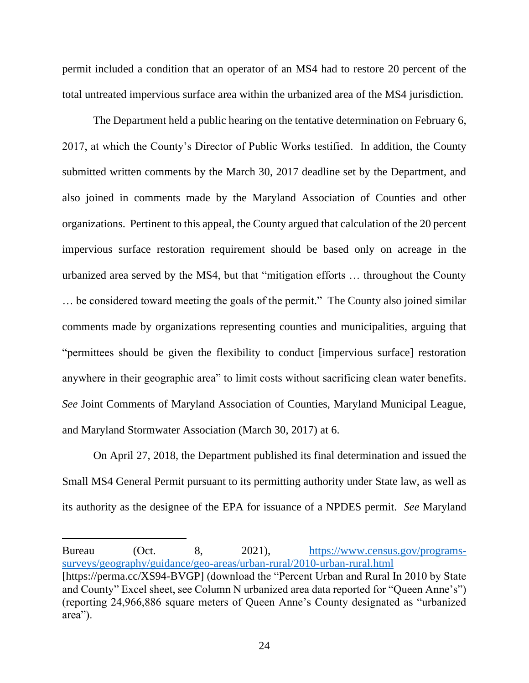permit included a condition that an operator of an MS4 had to restore 20 percent of the total untreated impervious surface area within the urbanized area of the MS4 jurisdiction.

The Department held a public hearing on the tentative determination on February 6, 2017, at which the County's Director of Public Works testified. In addition, the County submitted written comments by the March 30, 2017 deadline set by the Department, and also joined in comments made by the Maryland Association of Counties and other organizations. Pertinent to this appeal, the County argued that calculation of the 20 percent impervious surface restoration requirement should be based only on acreage in the urbanized area served by the MS4, but that "mitigation efforts … throughout the County … be considered toward meeting the goals of the permit." The County also joined similar comments made by organizations representing counties and municipalities, arguing that "permittees should be given the flexibility to conduct [impervious surface] restoration anywhere in their geographic area" to limit costs without sacrificing clean water benefits. *See* Joint Comments of Maryland Association of Counties, Maryland Municipal League, and Maryland Stormwater Association (March 30, 2017) at 6.

On April 27, 2018, the Department published its final determination and issued the Small MS4 General Permit pursuant to its permitting authority under State law, as well as its authority as the designee of the EPA for issuance of a NPDES permit. *See* Maryland

Bureau (Oct. 8, 2021), [https://www.census.gov/programs](https://gcc02.safelinks.protection.outlook.com/?url=https%3A%2F%2Fwww.census.gov%2Fprograms-surveys%2Fgeography%2Fguidance%2Fgeo-areas%2Furban-rural%2F2010-urban-rural.html&data=05%7C01%7Crobert.mcdonald%40mdcourts.gov%7C88f5c834123f430cd7a808da3d9b5774%7C2be0e635355c4ebda05f937800f269e9%7C0%7C0%7C637890035852450868%7CUnknown%7CTWFpbGZsb3d8eyJWIjoiMC4wLjAwMDAiLCJQIjoiV2luMzIiLCJBTiI6Ik1haWwiLCJXVCI6Mn0%3D%7C3000%7C%7C%7C&sdata=UtLwDSeyJhAfzYp7F7xOKD70Vl0OYXoLoumX7TrxiZ8%3D&reserved=0)[surveys/geography/guidance/geo-areas/urban-rural/2010-urban-rural.html](https://gcc02.safelinks.protection.outlook.com/?url=https%3A%2F%2Fwww.census.gov%2Fprograms-surveys%2Fgeography%2Fguidance%2Fgeo-areas%2Furban-rural%2F2010-urban-rural.html&data=05%7C01%7Crobert.mcdonald%40mdcourts.gov%7C88f5c834123f430cd7a808da3d9b5774%7C2be0e635355c4ebda05f937800f269e9%7C0%7C0%7C637890035852450868%7CUnknown%7CTWFpbGZsb3d8eyJWIjoiMC4wLjAwMDAiLCJQIjoiV2luMzIiLCJBTiI6Ik1haWwiLCJXVCI6Mn0%3D%7C3000%7C%7C%7C&sdata=UtLwDSeyJhAfzYp7F7xOKD70Vl0OYXoLoumX7TrxiZ8%3D&reserved=0) [https://perma.cc/XS94-BVGP] (download the "Percent Urban and Rural In 2010 by State and County" Excel sheet, see Column N urbanized area data reported for "Queen Anne's") (reporting 24,966,886 square meters of Queen Anne's County designated as "urbanized area").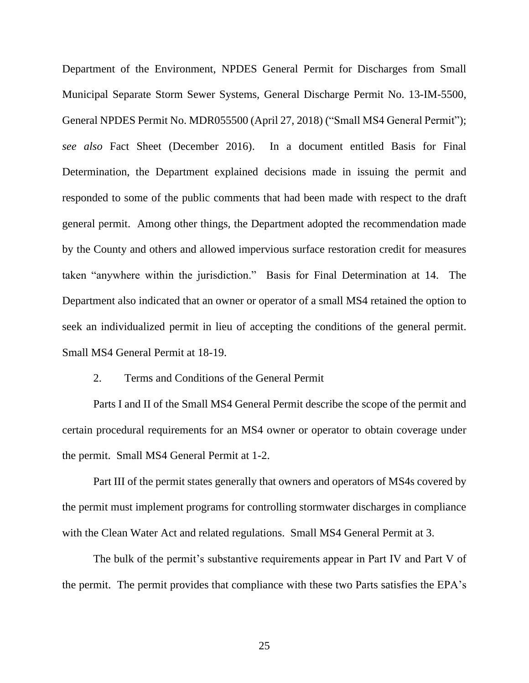Department of the Environment, NPDES General Permit for Discharges from Small Municipal Separate Storm Sewer Systems, General Discharge Permit No. 13-IM-5500, General NPDES Permit No. MDR055500 (April 27, 2018) ("Small MS4 General Permit"); *see also* Fact Sheet (December 2016). In a document entitled Basis for Final Determination, the Department explained decisions made in issuing the permit and responded to some of the public comments that had been made with respect to the draft general permit. Among other things, the Department adopted the recommendation made by the County and others and allowed impervious surface restoration credit for measures taken "anywhere within the jurisdiction." Basis for Final Determination at 14. The Department also indicated that an owner or operator of a small MS4 retained the option to seek an individualized permit in lieu of accepting the conditions of the general permit. Small MS4 General Permit at 18-19.

# 2. Terms and Conditions of the General Permit

Parts I and II of the Small MS4 General Permit describe the scope of the permit and certain procedural requirements for an MS4 owner or operator to obtain coverage under the permit. Small MS4 General Permit at 1-2.

Part III of the permit states generally that owners and operators of MS4s covered by the permit must implement programs for controlling stormwater discharges in compliance with the Clean Water Act and related regulations. Small MS4 General Permit at 3.

The bulk of the permit's substantive requirements appear in Part IV and Part V of the permit. The permit provides that compliance with these two Parts satisfies the EPA's

25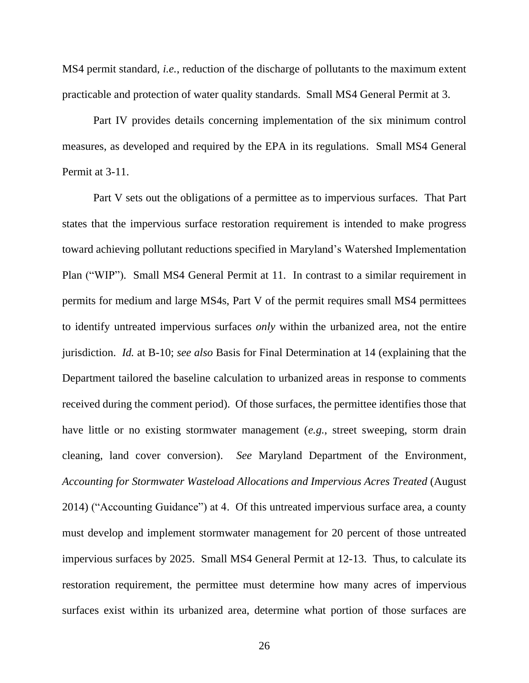MS4 permit standard, *i.e.*, reduction of the discharge of pollutants to the maximum extent practicable and protection of water quality standards. Small MS4 General Permit at 3.

Part IV provides details concerning implementation of the six minimum control measures, as developed and required by the EPA in its regulations. Small MS4 General Permit at 3-11.

Part V sets out the obligations of a permittee as to impervious surfaces. That Part states that the impervious surface restoration requirement is intended to make progress toward achieving pollutant reductions specified in Maryland's Watershed Implementation Plan ("WIP"). Small MS4 General Permit at 11. In contrast to a similar requirement in permits for medium and large MS4s, Part V of the permit requires small MS4 permittees to identify untreated impervious surfaces *only* within the urbanized area, not the entire jurisdiction. *Id.* at B-10; *see also* Basis for Final Determination at 14 (explaining that the Department tailored the baseline calculation to urbanized areas in response to comments received during the comment period). Of those surfaces, the permittee identifies those that have little or no existing stormwater management (*e.g.*, street sweeping, storm drain cleaning, land cover conversion). *See* Maryland Department of the Environment, *Accounting for Stormwater Wasteload Allocations and Impervious Acres Treated* (August 2014) ("Accounting Guidance") at 4. Of this untreated impervious surface area, a county must develop and implement stormwater management for 20 percent of those untreated impervious surfaces by 2025. Small MS4 General Permit at 12-13.Thus, to calculate its restoration requirement, the permittee must determine how many acres of impervious surfaces exist within its urbanized area, determine what portion of those surfaces are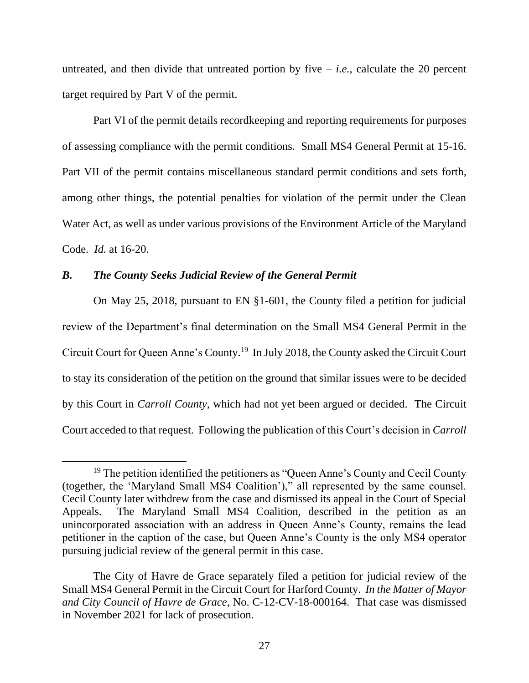untreated, and then divide that untreated portion by five  $-i.e.,$  calculate the 20 percent target required by Part V of the permit.

Part VI of the permit details recordkeeping and reporting requirements for purposes of assessing compliance with the permit conditions. Small MS4 General Permit at 15-16. Part VII of the permit contains miscellaneous standard permit conditions and sets forth, among other things, the potential penalties for violation of the permit under the Clean Water Act, as well as under various provisions of the Environment Article of the Maryland Code. *Id.* at 16-20.

## *B. The County Seeks Judicial Review of the General Permit*

On May 25, 2018, pursuant to EN §1-601, the County filed a petition for judicial review of the Department's final determination on the Small MS4 General Permit in the Circuit Court for Queen Anne's County.<sup>19</sup> In July 2018, the County asked the Circuit Court to stay its consideration of the petition on the ground that similar issues were to be decided by this Court in *Carroll County*, which had not yet been argued or decided. The Circuit Court acceded to that request. Following the publication of this Court's decision in *Carroll* 

<sup>&</sup>lt;sup>19</sup> The petition identified the petitioners as "Queen Anne's County and Cecil County (together, the 'Maryland Small MS4 Coalition')," all represented by the same counsel. Cecil County later withdrew from the case and dismissed its appeal in the Court of Special Appeals. The Maryland Small MS4 Coalition, described in the petition as an unincorporated association with an address in Queen Anne's County, remains the lead petitioner in the caption of the case, but Queen Anne's County is the only MS4 operator pursuing judicial review of the general permit in this case.

The City of Havre de Grace separately filed a petition for judicial review of the Small MS4 General Permit in the Circuit Court for Harford County. *In the Matter of Mayor and City Council of Havre de Grace*, No. C-12-CV-18-000164. That case was dismissed in November 2021 for lack of prosecution.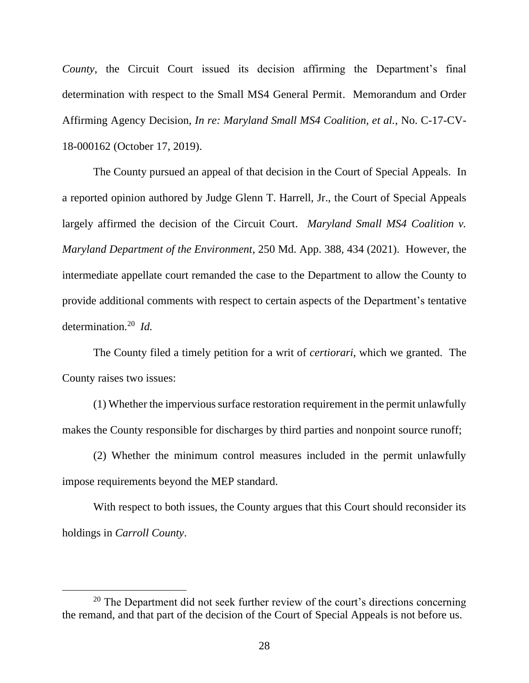*County*, the Circuit Court issued its decision affirming the Department's final determination with respect to the Small MS4 General Permit. Memorandum and Order Affirming Agency Decision, *In re: Maryland Small MS4 Coalition, et al.*, No. C-17-CV-18-000162 (October 17, 2019).

The County pursued an appeal of that decision in the Court of Special Appeals. In a reported opinion authored by Judge Glenn T. Harrell, Jr., the Court of Special Appeals largely affirmed the decision of the Circuit Court. *Maryland Small MS4 Coalition v. Maryland Department of the Environment*, 250 Md. App. 388, 434 (2021). However, the intermediate appellate court remanded the case to the Department to allow the County to provide additional comments with respect to certain aspects of the Department's tentative determination.<sup>20</sup> *Id.*

The County filed a timely petition for a writ of *certiorari*, which we granted. The County raises two issues:

(1) Whether the impervious surface restoration requirement in the permit unlawfully makes the County responsible for discharges by third parties and nonpoint source runoff;

(2) Whether the minimum control measures included in the permit unlawfully impose requirements beyond the MEP standard.

With respect to both issues, the County argues that this Court should reconsider its holdings in *Carroll County*.

 $20$  The Department did not seek further review of the court's directions concerning the remand, and that part of the decision of the Court of Special Appeals is not before us.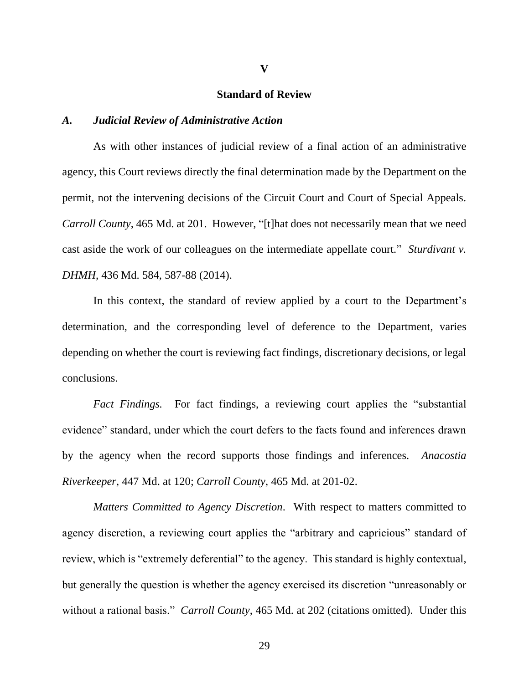#### **Standard of Review**

#### *A. Judicial Review of Administrative Action*

As with other instances of judicial review of a final action of an administrative agency, this Court reviews directly the final determination made by the Department on the permit, not the intervening decisions of the Circuit Court and Court of Special Appeals. *Carroll County*, 465 Md. at 201. However, "[t]hat does not necessarily mean that we need cast aside the work of our colleagues on the intermediate appellate court." *Sturdivant v. DHMH*, 436 Md. 584, 587-88 (2014).

In this context, the standard of review applied by a court to the Department's determination, and the corresponding level of deference to the Department, varies depending on whether the court is reviewing fact findings, discretionary decisions, or legal conclusions.

*Fact Findings.* For fact findings, a reviewing court applies the "substantial evidence" standard, under which the court defers to the facts found and inferences drawn by the agency when the record supports those findings and inferences. *Anacostia Riverkeeper*, 447 Md. at 120; *Carroll County*, 465 Md. at 201-02.

*Matters Committed to Agency Discretion*. With respect to matters committed to agency discretion, a reviewing court applies the "arbitrary and capricious" standard of review, which is "extremely deferential" to the agency. This standard is highly contextual, but generally the question is whether the agency exercised its discretion "unreasonably or without a rational basis." *Carroll County*, 465 Md. at 202 (citations omitted). Under this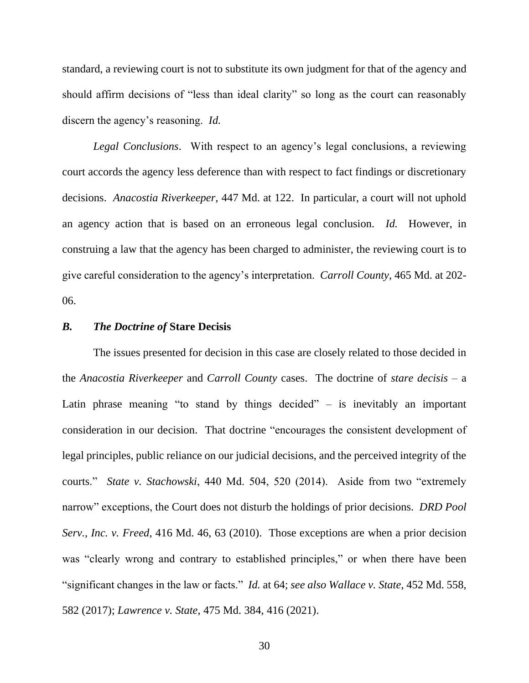standard, a reviewing court is not to substitute its own judgment for that of the agency and should affirm decisions of "less than ideal clarity" so long as the court can reasonably discern the agency's reasoning. *Id.*

*Legal Conclusions*. With respect to an agency's legal conclusions, a reviewing court accords the agency less deference than with respect to fact findings or discretionary decisions. *Anacostia Riverkeeper*, 447 Md. at 122. In particular, a court will not uphold an agency action that is based on an erroneous legal conclusion. *Id.* However, in construing a law that the agency has been charged to administer, the reviewing court is to give careful consideration to the agency's interpretation. *Carroll County*, 465 Md. at 202- 06.

### *B. The Doctrine of* **Stare Decisis**

The issues presented for decision in this case are closely related to those decided in the *Anacostia Riverkeeper* and *Carroll County* cases. The doctrine of *stare decisis* – a Latin phrase meaning "to stand by things decided"  $-$  is inevitably an important consideration in our decision. That doctrine "encourages the consistent development of legal principles, public reliance on our judicial decisions, and the perceived integrity of the courts." *State v. Stachowski*, 440 Md. 504, 520 (2014). Aside from two "extremely narrow" exceptions, the Court does not disturb the holdings of prior decisions. *DRD Pool Serv., Inc. v. Freed*, 416 Md. 46, 63 (2010). Those exceptions are when a prior decision was "clearly wrong and contrary to established principles," or when there have been "significant changes in the law or facts." *Id.* at 64; *see also Wallace v. State*, 452 Md. 558, 582 (2017); *Lawrence v. State*, 475 Md. 384, 416 (2021).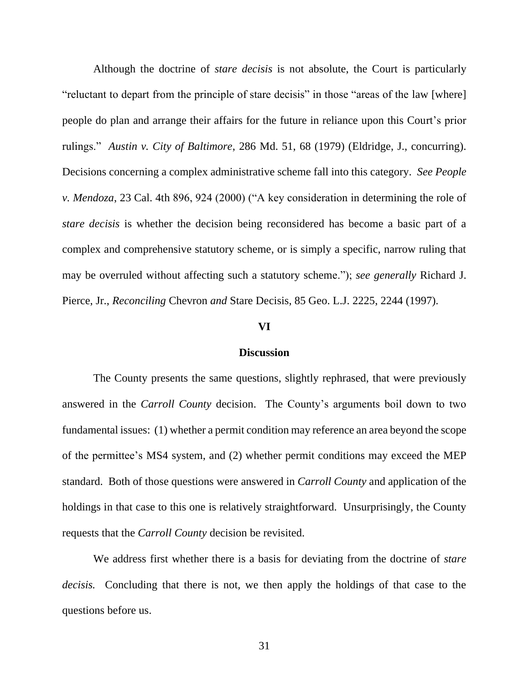Although the doctrine of *stare decisis* is not absolute, the Court is particularly "reluctant to depart from the principle of stare decisis" in those "areas of the law [where] people do plan and arrange their affairs for the future in reliance upon this Court's prior rulings." *Austin v. City of Baltimore*, 286 Md. 51, 68 (1979) (Eldridge, J., concurring). Decisions concerning a complex administrative scheme fall into this category. *See People v. Mendoza*, 23 Cal. 4th 896, 924 (2000) ("A key consideration in determining the role of *stare decisis* is whether the decision being reconsidered has become a basic part of a complex and comprehensive statutory scheme, or is simply a specific, narrow ruling that may be overruled without affecting such a statutory scheme."); *see generally* Richard J. Pierce, Jr., *Reconciling* Chevron *and* Stare Decisis, 85 Geo. L.J. 2225, 2244 (1997).

## **VI**

#### **Discussion**

The County presents the same questions, slightly rephrased, that were previously answered in the *Carroll County* decision. The County's arguments boil down to two fundamental issues: (1) whether a permit condition may reference an area beyond the scope of the permittee's MS4 system, and (2) whether permit conditions may exceed the MEP standard. Both of those questions were answered in *Carroll County* and application of the holdings in that case to this one is relatively straightforward. Unsurprisingly, the County requests that the *Carroll County* decision be revisited.

We address first whether there is a basis for deviating from the doctrine of *stare decisis.* Concluding that there is not, we then apply the holdings of that case to the questions before us.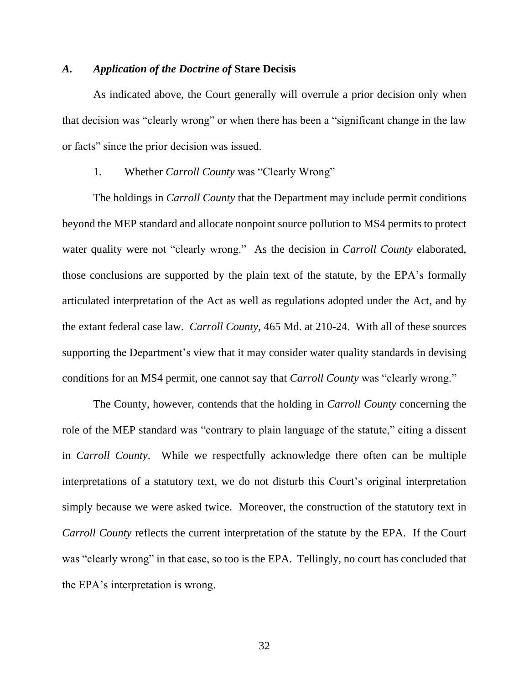#### *A. Application of the Doctrine of* **Stare Decisis**

As indicated above, the Court generally will overrule a prior decision only when that decision was "clearly wrong" or when there has been a "significant change in the law or facts" since the prior decision was issued.

## 1. Whether *Carroll County* was "Clearly Wrong"

The holdings in *Carroll County* that the Department may include permit conditions beyond the MEP standard and allocate nonpoint source pollution to MS4 permits to protect water quality were not "clearly wrong." As the decision in *Carroll County* elaborated, those conclusions are supported by the plain text of the statute, by the EPA's formally articulated interpretation of the Act as well as regulations adopted under the Act, and by the extant federal case law. *Carroll County*, 465 Md. at 210-24. With all of these sources supporting the Department's view that it may consider water quality standards in devising conditions for an MS4 permit, one cannot say that *Carroll County* was "clearly wrong."

The County, however, contends that the holding in *Carroll County* concerning the role of the MEP standard was "contrary to plain language of the statute," citing a dissent in *Carroll County*. While we respectfully acknowledge there often can be multiple interpretations of a statutory text, we do not disturb this Court's original interpretation simply because we were asked twice. Moreover, the construction of the statutory text in *Carroll County* reflects the current interpretation of the statute by the EPA. If the Court was "clearly wrong" in that case, so too is the EPA. Tellingly, no court has concluded that the EPA's interpretation is wrong.

32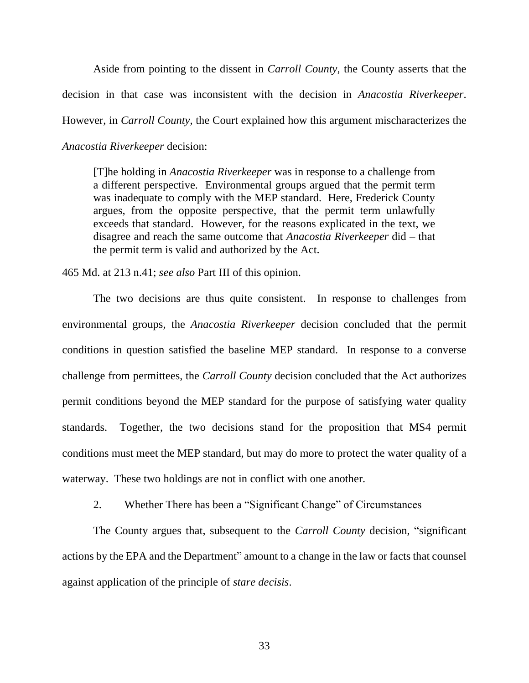Aside from pointing to the dissent in *Carroll County*, the County asserts that the decision in that case was inconsistent with the decision in *Anacostia Riverkeeper*. However, in *Carroll County*, the Court explained how this argument mischaracterizes the *Anacostia Riverkeeper* decision:

[T]he holding in *Anacostia Riverkeeper* was in response to a challenge from a different perspective. Environmental groups argued that the permit term was inadequate to comply with the MEP standard. Here, Frederick County argues, from the opposite perspective, that the permit term unlawfully exceeds that standard. However, for the reasons explicated in the text, we disagree and reach the same outcome that *Anacostia Riverkeeper* did – that the permit term is valid and authorized by the Act.

465 Md. at 213 n.41; *see also* Part III of this opinion.

The two decisions are thus quite consistent. In response to challenges from environmental groups, the *Anacostia Riverkeeper* decision concluded that the permit conditions in question satisfied the baseline MEP standard. In response to a converse challenge from permittees, the *Carroll County* decision concluded that the Act authorizes permit conditions beyond the MEP standard for the purpose of satisfying water quality standards. Together, the two decisions stand for the proposition that MS4 permit conditions must meet the MEP standard, but may do more to protect the water quality of a waterway. These two holdings are not in conflict with one another.

2. Whether There has been a "Significant Change" of Circumstances

The County argues that, subsequent to the *Carroll County* decision, "significant actions by the EPA and the Department" amount to a change in the law or facts that counsel against application of the principle of *stare decisis*.

33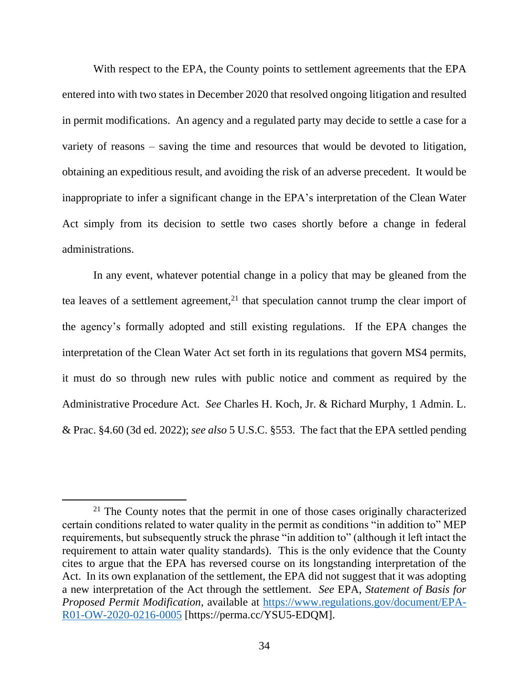With respect to the EPA, the County points to settlement agreements that the EPA entered into with two states in December 2020 that resolved ongoing litigation and resulted in permit modifications. An agency and a regulated party may decide to settle a case for a variety of reasons – saving the time and resources that would be devoted to litigation, obtaining an expeditious result, and avoiding the risk of an adverse precedent. It would be inappropriate to infer a significant change in the EPA's interpretation of the Clean Water Act simply from its decision to settle two cases shortly before a change in federal administrations.

In any event, whatever potential change in a policy that may be gleaned from the tea leaves of a settlement agreement, $2<sup>1</sup>$  that speculation cannot trump the clear import of the agency's formally adopted and still existing regulations. If the EPA changes the interpretation of the Clean Water Act set forth in its regulations that govern MS4 permits, it must do so through new rules with public notice and comment as required by the Administrative Procedure Act. *See* Charles H. Koch, Jr. & Richard Murphy, 1 Admin. L. & Prac. §4.60 (3d ed. 2022); *see also* 5 U.S.C. §553. The fact that the EPA settled pending

 $21$  The County notes that the permit in one of those cases originally characterized certain conditions related to water quality in the permit as conditions "in addition to" MEP requirements, but subsequently struck the phrase "in addition to" (although it left intact the requirement to attain water quality standards). This is the only evidence that the County cites to argue that the EPA has reversed course on its longstanding interpretation of the Act. In its own explanation of the settlement, the EPA did not suggest that it was adopting a new interpretation of the Act through the settlement. *See* EPA, *Statement of Basis for Proposed Permit Modification*, available at [https://www.regulations.gov/document/EPA-](https://gcc02.safelinks.protection.outlook.com/?url=https%3A%2F%2Fwww.regulations.gov%2Fdocument%2FEPA-R01-OW-2020-0216-0005&data=05%7C01%7Crobert.mcdonald%40mdcourts.gov%7C68149cbcadde4446ecba08da38dd23be%7C2be0e635355c4ebda05f937800f269e9%7C0%7C0%7C637884819682227412%7CUnknown%7CTWFpbGZsb3d8eyJWIjoiMC4wLjAwMDAiLCJQIjoiV2luMzIiLCJBTiI6Ik1haWwiLCJXVCI6Mn0%3D%7C3000%7C%7C%7C&sdata=Si2KKs2tXH45iWQNlK70TQ%2BBk8KJclS81S%2FK03BzrlE%3D&reserved=0)[R01-OW-2020-0216-0005](https://gcc02.safelinks.protection.outlook.com/?url=https%3A%2F%2Fwww.regulations.gov%2Fdocument%2FEPA-R01-OW-2020-0216-0005&data=05%7C01%7Crobert.mcdonald%40mdcourts.gov%7C68149cbcadde4446ecba08da38dd23be%7C2be0e635355c4ebda05f937800f269e9%7C0%7C0%7C637884819682227412%7CUnknown%7CTWFpbGZsb3d8eyJWIjoiMC4wLjAwMDAiLCJQIjoiV2luMzIiLCJBTiI6Ik1haWwiLCJXVCI6Mn0%3D%7C3000%7C%7C%7C&sdata=Si2KKs2tXH45iWQNlK70TQ%2BBk8KJclS81S%2FK03BzrlE%3D&reserved=0) [https://perma.cc/YSU5-EDQM].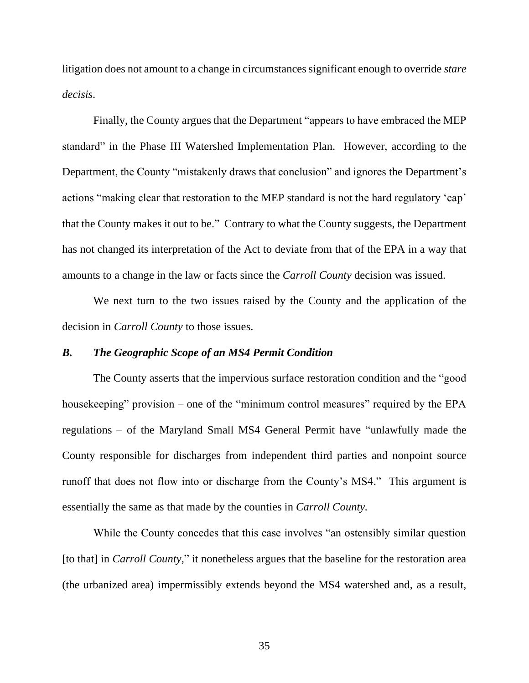litigation does not amount to a change in circumstances significant enough to override *stare decisis*.

Finally, the County argues that the Department "appears to have embraced the MEP standard" in the Phase III Watershed Implementation Plan. However, according to the Department, the County "mistakenly draws that conclusion" and ignores the Department's actions "making clear that restoration to the MEP standard is not the hard regulatory 'cap' that the County makes it out to be." Contrary to what the County suggests, the Department has not changed its interpretation of the Act to deviate from that of the EPA in a way that amounts to a change in the law or facts since the *Carroll County* decision was issued.

We next turn to the two issues raised by the County and the application of the decision in *Carroll County* to those issues.

# *B. The Geographic Scope of an MS4 Permit Condition*

The County asserts that the impervious surface restoration condition and the "good housekeeping" provision – one of the "minimum control measures" required by the EPA regulations – of the Maryland Small MS4 General Permit have "unlawfully made the County responsible for discharges from independent third parties and nonpoint source runoff that does not flow into or discharge from the County's MS4." This argument is essentially the same as that made by the counties in *Carroll County.*

While the County concedes that this case involves "an ostensibly similar question [to that] in *Carroll County*," it nonetheless argues that the baseline for the restoration area (the urbanized area) impermissibly extends beyond the MS4 watershed and, as a result,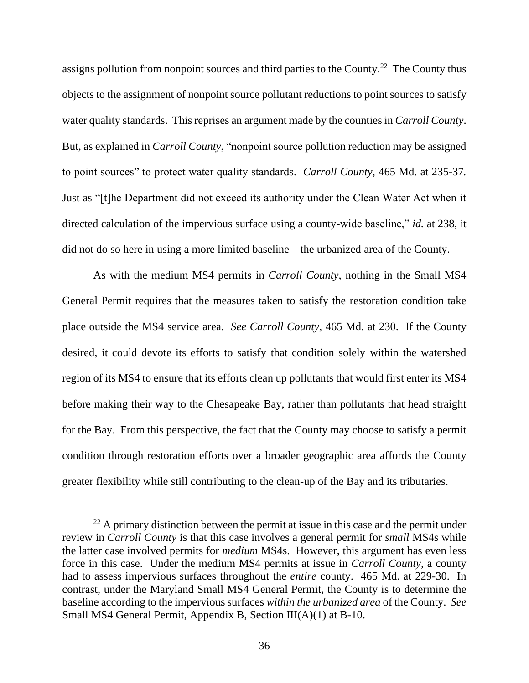assigns pollution from nonpoint sources and third parties to the County.<sup>22</sup> The County thus objects to the assignment of nonpoint source pollutant reductions to point sources to satisfy water quality standards. This reprises an argument made by the counties in *Carroll County*. But, as explained in *Carroll County*, "nonpoint source pollution reduction may be assigned to point sources" to protect water quality standards. *Carroll County*, 465 Md. at 235-37*.* Just as "[t]he Department did not exceed its authority under the Clean Water Act when it directed calculation of the impervious surface using a county-wide baseline," *id.* at 238, it did not do so here in using a more limited baseline – the urbanized area of the County.

As with the medium MS4 permits in *Carroll County*, nothing in the Small MS4 General Permit requires that the measures taken to satisfy the restoration condition take place outside the MS4 service area. *See Carroll County*, 465 Md. at 230. If the County desired, it could devote its efforts to satisfy that condition solely within the watershed region of its MS4 to ensure that its efforts clean up pollutants that would first enter its MS4 before making their way to the Chesapeake Bay, rather than pollutants that head straight for the Bay. From this perspective, the fact that the County may choose to satisfy a permit condition through restoration efforts over a broader geographic area affords the County greater flexibility while still contributing to the clean-up of the Bay and its tributaries.

 $22$  A primary distinction between the permit at issue in this case and the permit under review in *Carroll County* is that this case involves a general permit for *small* MS4s while the latter case involved permits for *medium* MS4s. However, this argument has even less force in this case. Under the medium MS4 permits at issue in *Carroll County*, a county had to assess impervious surfaces throughout the *entire* county. 465 Md. at 229-30. In contrast, under the Maryland Small MS4 General Permit, the County is to determine the baseline according to the impervious surfaces *within the urbanized area* of the County. *See* Small MS4 General Permit, Appendix B, Section III(A)(1) at B-10.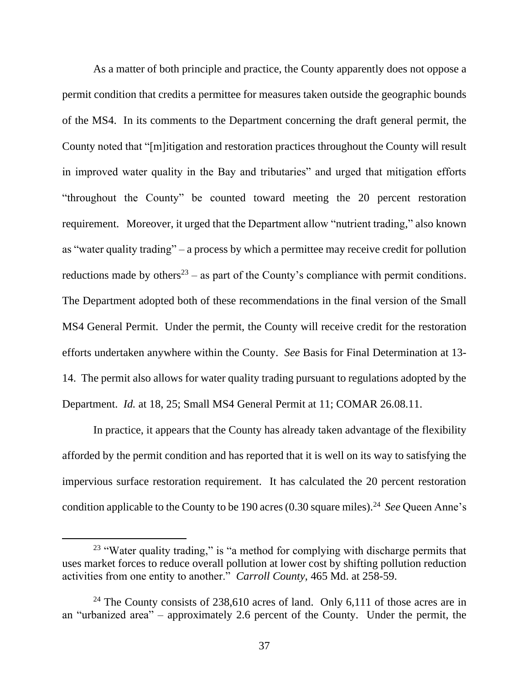As a matter of both principle and practice, the County apparently does not oppose a permit condition that credits a permittee for measures taken outside the geographic bounds of the MS4. In its comments to the Department concerning the draft general permit, the County noted that "[m]itigation and restoration practices throughout the County will result in improved water quality in the Bay and tributaries" and urged that mitigation efforts "throughout the County" be counted toward meeting the 20 percent restoration requirement. Moreover, it urged that the Department allow "nutrient trading," also known as "water quality trading" – a process by which a permittee may receive credit for pollution reductions made by others<sup>23</sup> – as part of the County's compliance with permit conditions. The Department adopted both of these recommendations in the final version of the Small MS4 General Permit. Under the permit, the County will receive credit for the restoration efforts undertaken anywhere within the County. *See* Basis for Final Determination at 13- 14. The permit also allows for water quality trading pursuant to regulations adopted by the Department. *Id.* at 18, 25; Small MS4 General Permit at 11; COMAR 26.08.11.

In practice, it appears that the County has already taken advantage of the flexibility afforded by the permit condition and has reported that it is well on its way to satisfying the impervious surface restoration requirement. It has calculated the 20 percent restoration condition applicable to the County to be 190 acres (0.30 square miles).<sup>24</sup> *See* Queen Anne's

 $23$  "Water quality trading," is "a method for complying with discharge permits that uses market forces to reduce overall pollution at lower cost by shifting pollution reduction activities from one entity to another." *Carroll County*, 465 Md. at 258-59.

<sup>&</sup>lt;sup>24</sup> The County consists of 238,610 acres of land. Only 6,111 of those acres are in an "urbanized area" – approximately 2.6 percent of the County. Under the permit, the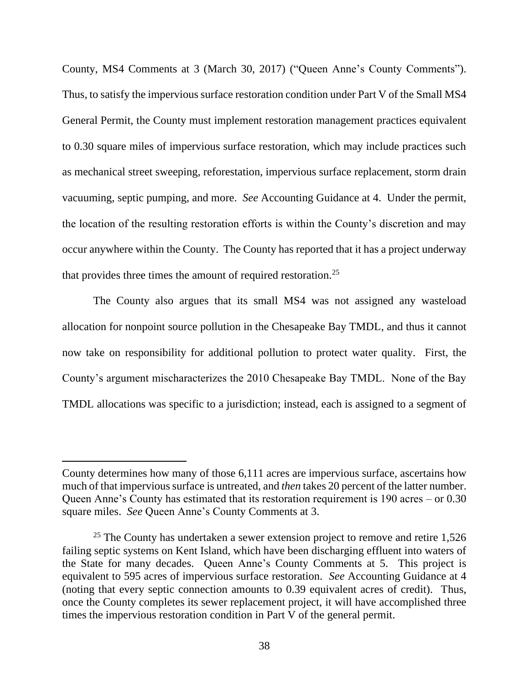County, MS4 Comments at 3 (March 30, 2017) ("Queen Anne's County Comments"). Thus, to satisfy the impervious surface restoration condition under Part V of the Small MS4 General Permit, the County must implement restoration management practices equivalent to 0.30 square miles of impervious surface restoration, which may include practices such as mechanical street sweeping, reforestation, impervious surface replacement, storm drain vacuuming, septic pumping, and more. *See* Accounting Guidance at 4. Under the permit, the location of the resulting restoration efforts is within the County's discretion and may occur anywhere within the County. The County has reported that it has a project underway that provides three times the amount of required restoration.<sup>25</sup>

The County also argues that its small MS4 was not assigned any wasteload allocation for nonpoint source pollution in the Chesapeake Bay TMDL, and thus it cannot now take on responsibility for additional pollution to protect water quality. First, the County's argument mischaracterizes the 2010 Chesapeake Bay TMDL. None of the Bay TMDL allocations was specific to a jurisdiction; instead, each is assigned to a segment of

County determines how many of those 6,111 acres are impervious surface, ascertains how much of that impervious surface is untreated, and *then* takes 20 percent of the latter number. Queen Anne's County has estimated that its restoration requirement is 190 acres – or 0.30 square miles. *See* Queen Anne's County Comments at 3.

<sup>&</sup>lt;sup>25</sup> The County has undertaken a sewer extension project to remove and retire  $1,526$ failing septic systems on Kent Island, which have been discharging effluent into waters of the State for many decades. Queen Anne's County Comments at 5. This project is equivalent to 595 acres of impervious surface restoration. *See* Accounting Guidance at 4 (noting that every septic connection amounts to 0.39 equivalent acres of credit). Thus, once the County completes its sewer replacement project, it will have accomplished three times the impervious restoration condition in Part V of the general permit.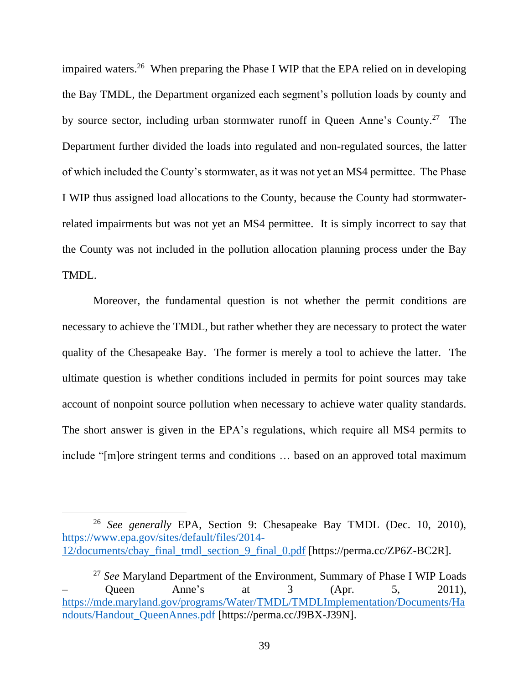impaired waters.<sup>26</sup> When preparing the Phase I WIP that the EPA relied on in developing the Bay TMDL, the Department organized each segment's pollution loads by county and by source sector, including urban stormwater runoff in Queen Anne's County.<sup>27</sup> The Department further divided the loads into regulated and non-regulated sources, the latter of which included the County's stormwater, as it was not yet an MS4 permittee. The Phase I WIP thus assigned load allocations to the County, because the County had stormwaterrelated impairments but was not yet an MS4 permittee. It is simply incorrect to say that the County was not included in the pollution allocation planning process under the Bay TMDL.

Moreover, the fundamental question is not whether the permit conditions are necessary to achieve the TMDL, but rather whether they are necessary to protect the water quality of the Chesapeake Bay. The former is merely a tool to achieve the latter. The ultimate question is whether conditions included in permits for point sources may take account of nonpoint source pollution when necessary to achieve water quality standards. The short answer is given in the EPA's regulations, which require all MS4 permits to include "[m]ore stringent terms and conditions … based on an approved total maximum

<sup>26</sup> *See generally* EPA, Section 9: Chesapeake Bay TMDL (Dec. 10, 2010), [https://www.epa.gov/sites/default/files/2014-](https://www.epa.gov/sites/default/files/2014-12/documents/cbay_final_tmdl_section_9_final_0.pdf) [12/documents/cbay\\_final\\_tmdl\\_section\\_9\\_final\\_0.pdf](https://www.epa.gov/sites/default/files/2014-12/documents/cbay_final_tmdl_section_9_final_0.pdf) [https://perma.cc/ZP6Z-BC2R].

<sup>27</sup> *See* Maryland Department of the Environment, Summary of Phase I WIP Loads  $-$  Queen Anne's at 3 (Apr. 5, 2011), [https://mde.maryland.gov/programs/Water/TMDL/TMDLImplementation/Documents/Ha](https://gcc02.safelinks.protection.outlook.com/?url=https%3A%2F%2Fmde.maryland.gov%2Fprograms%2FWater%2FTMDL%2FTMDLImplementation%2FDocuments%2FHandouts%2FHandout_QueenAnnes.pdf&data=05%7C01%7Crobert.mcdonald%40mdcourts.gov%7C88f5c834123f430cd7a808da3d9b5774%7C2be0e635355c4ebda05f937800f269e9%7C0%7C0%7C637890035852450868%7CUnknown%7CTWFpbGZsb3d8eyJWIjoiMC4wLjAwMDAiLCJQIjoiV2luMzIiLCJBTiI6Ik1haWwiLCJXVCI6Mn0%3D%7C3000%7C%7C%7C&sdata=TCJ003J93jOxlz2x3tBBe3V0hyR7P5Bs8vkVQtPIbCo%3D&reserved=0) [ndouts/Handout\\_QueenAnnes.pdf](https://gcc02.safelinks.protection.outlook.com/?url=https%3A%2F%2Fmde.maryland.gov%2Fprograms%2FWater%2FTMDL%2FTMDLImplementation%2FDocuments%2FHandouts%2FHandout_QueenAnnes.pdf&data=05%7C01%7Crobert.mcdonald%40mdcourts.gov%7C88f5c834123f430cd7a808da3d9b5774%7C2be0e635355c4ebda05f937800f269e9%7C0%7C0%7C637890035852450868%7CUnknown%7CTWFpbGZsb3d8eyJWIjoiMC4wLjAwMDAiLCJQIjoiV2luMzIiLCJBTiI6Ik1haWwiLCJXVCI6Mn0%3D%7C3000%7C%7C%7C&sdata=TCJ003J93jOxlz2x3tBBe3V0hyR7P5Bs8vkVQtPIbCo%3D&reserved=0) [https://perma.cc/J9BX-J39N].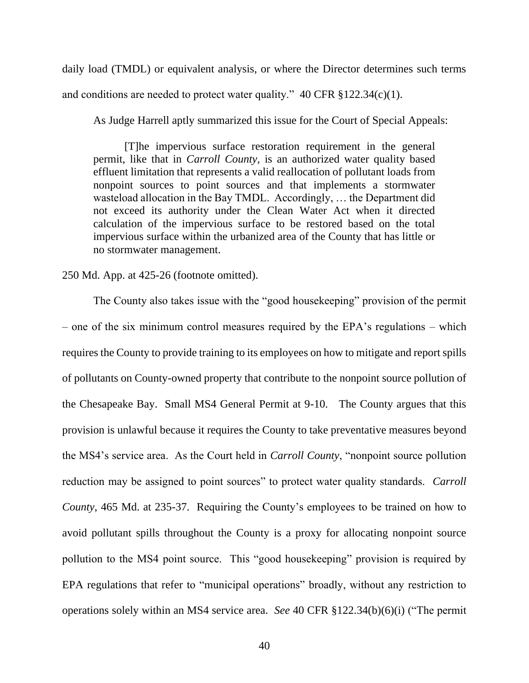daily load (TMDL) or equivalent analysis, or where the Director determines such terms and conditions are needed to protect water quality."  $40 \text{ CFR } \S 122.34(c)(1)$ .

As Judge Harrell aptly summarized this issue for the Court of Special Appeals:

[T]he impervious surface restoration requirement in the general permit, like that in *Carroll County*, is an authorized water quality based effluent limitation that represents a valid reallocation of pollutant loads from nonpoint sources to point sources and that implements a stormwater wasteload allocation in the Bay TMDL. Accordingly, … the Department did not exceed its authority under the Clean Water Act when it directed calculation of the impervious surface to be restored based on the total impervious surface within the urbanized area of the County that has little or no stormwater management.

# 250 Md. App. at 425-26 (footnote omitted).

The County also takes issue with the "good housekeeping" provision of the permit – one of the six minimum control measures required by the EPA's regulations – which requires the County to provide training to its employees on how to mitigate and report spills of pollutants on County-owned property that contribute to the nonpoint source pollution of the Chesapeake Bay. Small MS4 General Permit at 9-10. The County argues that this provision is unlawful because it requires the County to take preventative measures beyond the MS4's service area. As the Court held in *Carroll County*, "nonpoint source pollution reduction may be assigned to point sources" to protect water quality standards. *Carroll County*, 465 Md. at 235-37. Requiring the County's employees to be trained on how to avoid pollutant spills throughout the County is a proxy for allocating nonpoint source pollution to the MS4 point source. This "good housekeeping" provision is required by EPA regulations that refer to "municipal operations" broadly, without any restriction to operations solely within an MS4 service area. *See* 40 CFR §122.34(b)(6)(i) ("The permit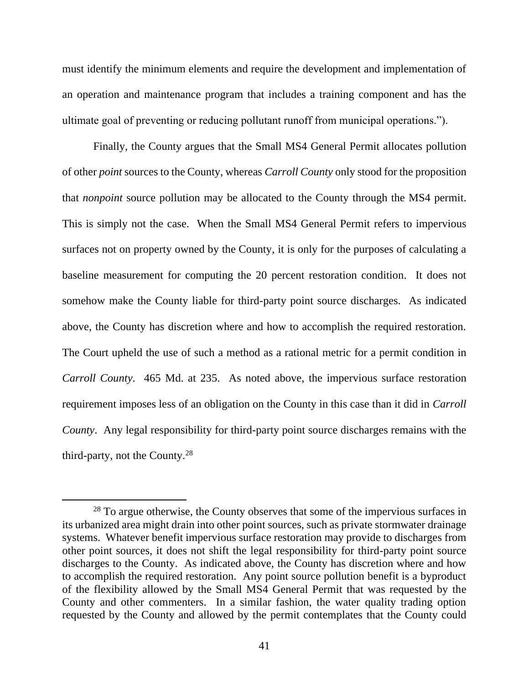must identify the minimum elements and require the development and implementation of an operation and maintenance program that includes a training component and has the ultimate goal of preventing or reducing pollutant runoff from municipal operations.").

Finally, the County argues that the Small MS4 General Permit allocates pollution of other *point* sources to the County, whereas *Carroll County* only stood for the proposition that *nonpoint* source pollution may be allocated to the County through the MS4 permit. This is simply not the case. When the Small MS4 General Permit refers to impervious surfaces not on property owned by the County, it is only for the purposes of calculating a baseline measurement for computing the 20 percent restoration condition. It does not somehow make the County liable for third-party point source discharges. As indicated above, the County has discretion where and how to accomplish the required restoration. The Court upheld the use of such a method as a rational metric for a permit condition in *Carroll County*. 465 Md. at 235. As noted above, the impervious surface restoration requirement imposes less of an obligation on the County in this case than it did in *Carroll County*. Any legal responsibility for third-party point source discharges remains with the third-party, not the County.<sup>28</sup>

<sup>&</sup>lt;sup>28</sup> To argue otherwise, the County observes that some of the impervious surfaces in its urbanized area might drain into other point sources, such as private stormwater drainage systems. Whatever benefit impervious surface restoration may provide to discharges from other point sources, it does not shift the legal responsibility for third-party point source discharges to the County. As indicated above, the County has discretion where and how to accomplish the required restoration. Any point source pollution benefit is a byproduct of the flexibility allowed by the Small MS4 General Permit that was requested by the County and other commenters. In a similar fashion, the water quality trading option requested by the County and allowed by the permit contemplates that the County could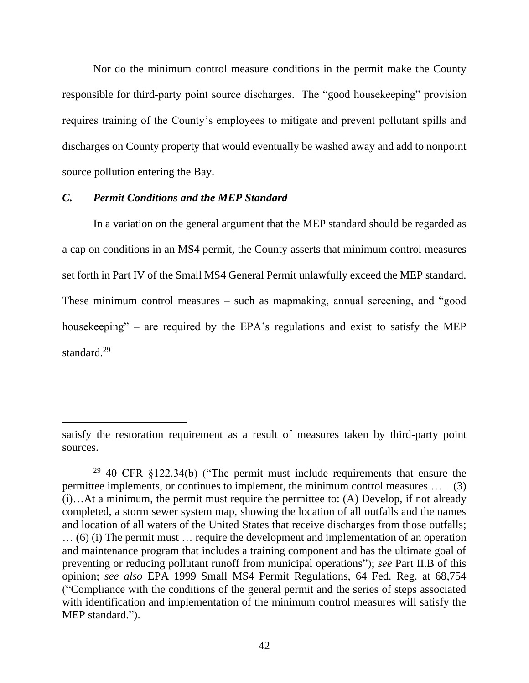Nor do the minimum control measure conditions in the permit make the County responsible for third-party point source discharges. The "good housekeeping" provision requires training of the County's employees to mitigate and prevent pollutant spills and discharges on County property that would eventually be washed away and add to nonpoint source pollution entering the Bay.

# *C. Permit Conditions and the MEP Standard*

In a variation on the general argument that the MEP standard should be regarded as a cap on conditions in an MS4 permit, the County asserts that minimum control measures set forth in Part IV of the Small MS4 General Permit unlawfully exceed the MEP standard. These minimum control measures – such as mapmaking, annual screening, and "good housekeeping" – are required by the EPA's regulations and exist to satisfy the MEP standard.<sup>29</sup>

satisfy the restoration requirement as a result of measures taken by third-party point sources.

 $29$  40 CFR §122.34(b) ("The permit must include requirements that ensure the permittee implements, or continues to implement, the minimum control measures … . (3) (i)…At a minimum, the permit must require the permittee to: (A) Develop, if not already completed, a storm sewer system map, showing the location of all outfalls and the names and location of all waters of the United States that receive discharges from those outfalls; … (6) (i) The permit must … require the development and implementation of an operation and maintenance program that includes a training component and has the ultimate goal of preventing or reducing pollutant runoff from municipal operations"); *see* Part II.B of this opinion; *see also* EPA 1999 Small MS4 Permit Regulations, 64 Fed. Reg. at 68,754 ("Compliance with the conditions of the general permit and the series of steps associated with identification and implementation of the minimum control measures will satisfy the MEP standard.").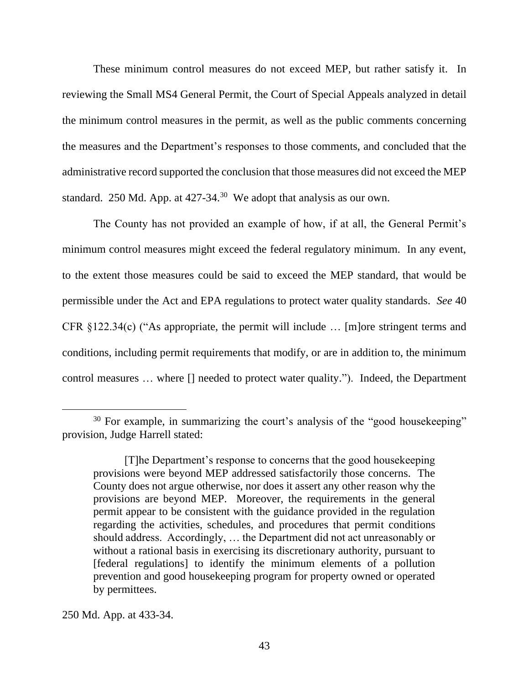These minimum control measures do not exceed MEP, but rather satisfy it. In reviewing the Small MS4 General Permit, the Court of Special Appeals analyzed in detail the minimum control measures in the permit, as well as the public comments concerning the measures and the Department's responses to those comments, and concluded that the administrative record supported the conclusion that those measures did not exceed the MEP standard. 250 Md. App. at  $427-34$ .<sup>30</sup> We adopt that analysis as our own.

The County has not provided an example of how, if at all, the General Permit's minimum control measures might exceed the federal regulatory minimum. In any event, to the extent those measures could be said to exceed the MEP standard, that would be permissible under the Act and EPA regulations to protect water quality standards. *See* 40 CFR §122.34(c) ("As appropriate, the permit will include … [m]ore stringent terms and conditions, including permit requirements that modify, or are in addition to, the minimum control measures … where [] needed to protect water quality."). Indeed, the Department

<sup>&</sup>lt;sup>30</sup> For example, in summarizing the court's analysis of the "good housekeeping" provision, Judge Harrell stated:

<sup>[</sup>T]he Department's response to concerns that the good housekeeping provisions were beyond MEP addressed satisfactorily those concerns. The County does not argue otherwise, nor does it assert any other reason why the provisions are beyond MEP. Moreover, the requirements in the general permit appear to be consistent with the guidance provided in the regulation regarding the activities, schedules, and procedures that permit conditions should address. Accordingly, … the Department did not act unreasonably or without a rational basis in exercising its discretionary authority, pursuant to [federal regulations] to identify the minimum elements of a pollution prevention and good housekeeping program for property owned or operated by permittees.

<sup>250</sup> Md. App. at 433-34.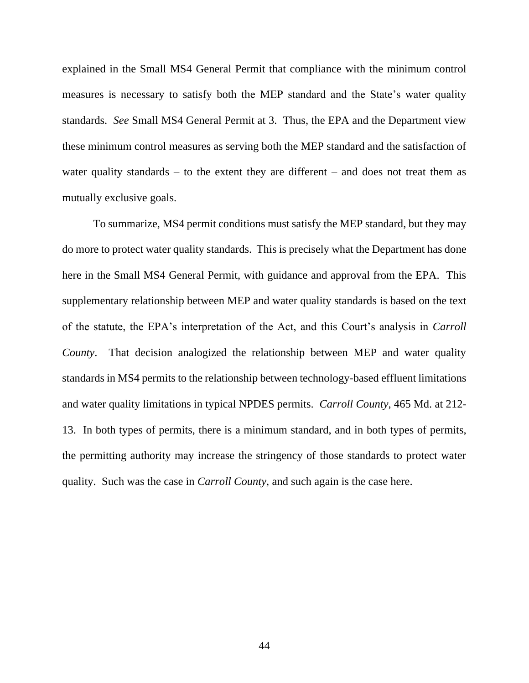explained in the Small MS4 General Permit that compliance with the minimum control measures is necessary to satisfy both the MEP standard and the State's water quality standards. *See* Small MS4 General Permit at 3. Thus, the EPA and the Department view these minimum control measures as serving both the MEP standard and the satisfaction of water quality standards – to the extent they are different – and does not treat them as mutually exclusive goals.

To summarize, MS4 permit conditions must satisfy the MEP standard, but they may do more to protect water quality standards. This is precisely what the Department has done here in the Small MS4 General Permit, with guidance and approval from the EPA. This supplementary relationship between MEP and water quality standards is based on the text of the statute, the EPA's interpretation of the Act, and this Court's analysis in *Carroll County*. That decision analogized the relationship between MEP and water quality standards in MS4 permits to the relationship between technology-based effluent limitations and water quality limitations in typical NPDES permits. *Carroll County*, 465 Md. at 212- 13. In both types of permits, there is a minimum standard, and in both types of permits, the permitting authority may increase the stringency of those standards to protect water quality. Such was the case in *Carroll County*, and such again is the case here.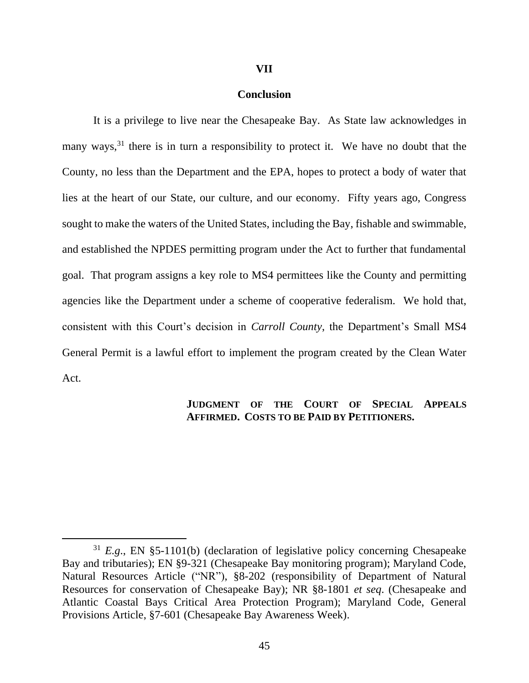#### **VII**

### **Conclusion**

It is a privilege to live near the Chesapeake Bay. As State law acknowledges in many ways,<sup>31</sup> there is in turn a responsibility to protect it. We have no doubt that the County, no less than the Department and the EPA, hopes to protect a body of water that lies at the heart of our State, our culture, and our economy. Fifty years ago, Congress sought to make the waters of the United States, including the Bay, fishable and swimmable, and established the NPDES permitting program under the Act to further that fundamental goal. That program assigns a key role to MS4 permittees like the County and permitting agencies like the Department under a scheme of cooperative federalism. We hold that, consistent with this Court's decision in *Carroll County*, the Department's Small MS4 General Permit is a lawful effort to implement the program created by the Clean Water Act.

# **JUDGMENT OF THE COURT OF SPECIAL APPEALS AFFIRMED. COSTS TO BE PAID BY PETITIONERS.**

<sup>31</sup> *E.g*., EN §5-1101(b) (declaration of legislative policy concerning Chesapeake Bay and tributaries); EN §9-321 (Chesapeake Bay monitoring program); Maryland Code, Natural Resources Article ("NR"), §8-202 (responsibility of Department of Natural Resources for conservation of Chesapeake Bay); NR §8-1801 *et seq*. (Chesapeake and Atlantic Coastal Bays Critical Area Protection Program); Maryland Code, General Provisions Article, §7-601 (Chesapeake Bay Awareness Week).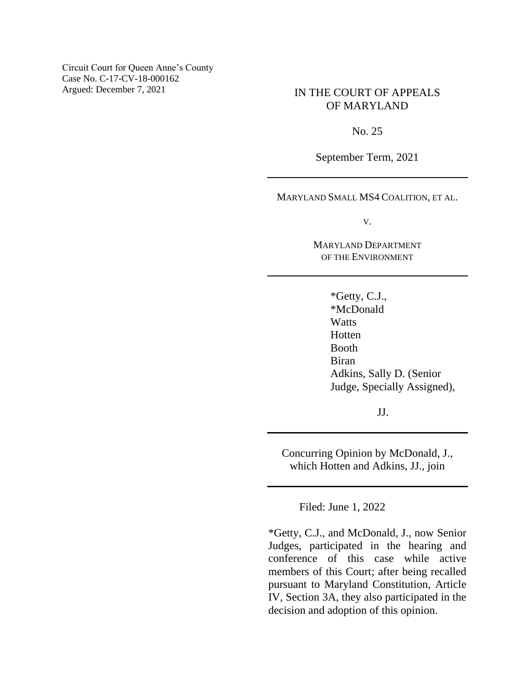Circuit Court for Queen Anne's County Case No. C-17-CV-18-000162 Argued: December 7, 2021 IN THE COURT OF APPEALS

# OF MARYLAND

No. 25

September Term, 2021

MARYLAND SMALL MS4 COALITION, ET AL.

V.

MARYLAND DEPARTMENT OF THE ENVIRONMENT

> \*Getty, C.J., \*McDonald **Watts** Hotten Booth Biran Adkins, Sally D. (Senior Judge, Specially Assigned),

> > JJ.

Concurring Opinion by McDonald, J., which Hotten and Adkins, JJ., join

Filed: June 1, 2022

\*Getty, C.J., and McDonald, J., now Senior Judges, participated in the hearing and conference of this case while active members of this Court; after being recalled pursuant to Maryland Constitution, Article IV, Section 3A, they also participated in the decision and adoption of this opinion.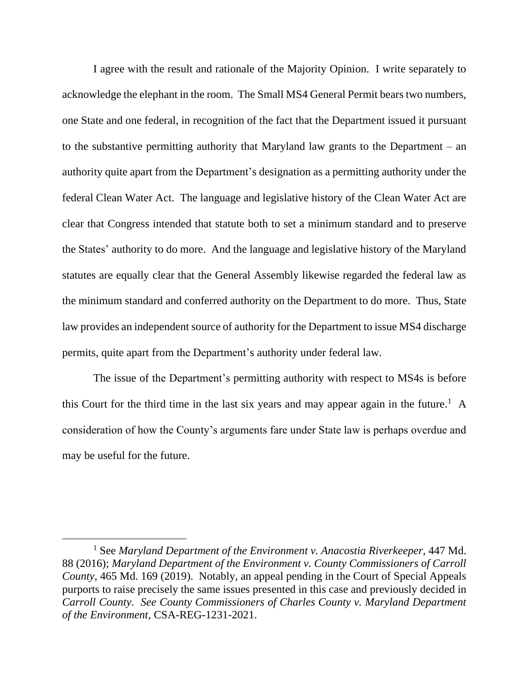I agree with the result and rationale of the Majority Opinion. I write separately to acknowledge the elephant in the room. The Small MS4 General Permit bears two numbers, one State and one federal, in recognition of the fact that the Department issued it pursuant to the substantive permitting authority that Maryland law grants to the Department – an authority quite apart from the Department's designation as a permitting authority under the federal Clean Water Act. The language and legislative history of the Clean Water Act are clear that Congress intended that statute both to set a minimum standard and to preserve the States' authority to do more. And the language and legislative history of the Maryland statutes are equally clear that the General Assembly likewise regarded the federal law as the minimum standard and conferred authority on the Department to do more. Thus, State law provides an independent source of authority for the Department to issue MS4 discharge permits, quite apart from the Department's authority under federal law.

The issue of the Department's permitting authority with respect to MS4s is before this Court for the third time in the last six years and may appear again in the future.<sup>1</sup> A consideration of how the County's arguments fare under State law is perhaps overdue and may be useful for the future.

<sup>1</sup> See *Maryland Department of the Environment v. Anacostia Riverkeeper*, 447 Md. 88 (2016); *Maryland Department of the Environment v. County Commissioners of Carroll County*, 465 Md. 169 (2019). Notably, an appeal pending in the Court of Special Appeals purports to raise precisely the same issues presented in this case and previously decided in *Carroll County*. *See County Commissioners of Charles County v. Maryland Department of the Environment*, CSA-REG-1231-2021.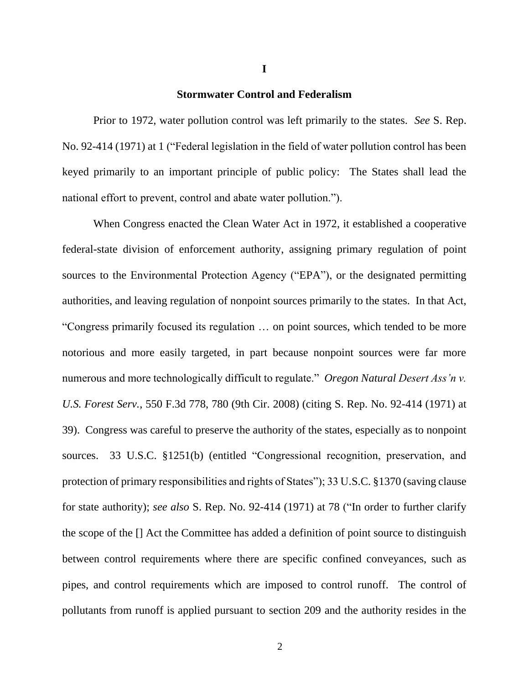#### **Stormwater Control and Federalism**

Prior to 1972, water pollution control was left primarily to the states. *See* S. Rep. No. 92-414 (1971) at 1 ("Federal legislation in the field of water pollution control has been keyed primarily to an important principle of public policy: The States shall lead the national effort to prevent, control and abate water pollution.").

When Congress enacted the Clean Water Act in 1972, it established a cooperative federal-state division of enforcement authority, assigning primary regulation of point sources to the Environmental Protection Agency ("EPA"), or the designated permitting authorities, and leaving regulation of nonpoint sources primarily to the states. In that Act, "Congress primarily focused its regulation … on point sources, which tended to be more notorious and more easily targeted, in part because nonpoint sources were far more numerous and more technologically difficult to regulate." *Oregon Natural Desert Ass'n v. U.S. Forest Serv.*, 550 F.3d 778, 780 (9th Cir. 2008) (citing S. Rep. No. 92-414 (1971) at 39). Congress was careful to preserve the authority of the states, especially as to nonpoint sources. 33 U.S.C. §1251(b) (entitled "Congressional recognition, preservation, and protection of primary responsibilities and rights of States"); 33 U.S.C. §1370 (saving clause for state authority); *see also* S. Rep. No. 92-414 (1971) at 78 ("In order to further clarify the scope of the [] Act the Committee has added a definition of point source to distinguish between control requirements where there are specific confined conveyances, such as pipes, and control requirements which are imposed to control runoff. The control of pollutants from runoff is applied pursuant to section 209 and the authority resides in the

**I**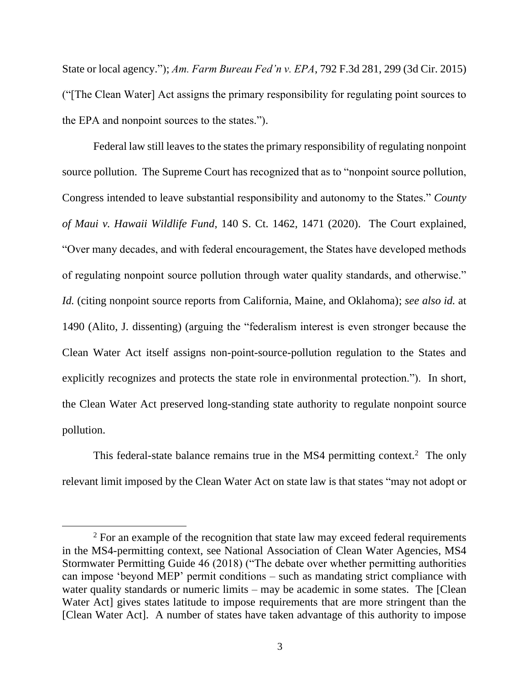State or local agency."); *Am. Farm Bureau Fed'n v. EPA*, 792 F.3d 281, 299 (3d Cir. 2015) ("[The Clean Water] Act assigns the primary responsibility for regulating point sources to the EPA and nonpoint sources to the states.").

Federal law still leaves to the states the primary responsibility of regulating nonpoint source pollution. The Supreme Court has recognized that as to "nonpoint source pollution, Congress intended to leave substantial responsibility and autonomy to the States." *County of Maui v. Hawaii Wildlife Fund*, 140 S. Ct. 1462, 1471 (2020). The Court explained, "Over many decades, and with federal encouragement, the States have developed methods of regulating nonpoint source pollution through water quality standards, and otherwise." *Id.* (citing nonpoint source reports from California, Maine, and Oklahoma); *see also id.* at 1490 (Alito, J. dissenting) (arguing the "federalism interest is even stronger because the Clean Water Act itself assigns non-point-source-pollution regulation to the States and explicitly recognizes and protects the state role in environmental protection."). In short, the Clean Water Act preserved long-standing state authority to regulate nonpoint source pollution.

This federal-state balance remains true in the MS4 permitting context.<sup>2</sup> The only relevant limit imposed by the Clean Water Act on state law is that states "may not adopt or

<sup>&</sup>lt;sup>2</sup> For an example of the recognition that state law may exceed federal requirements in the MS4-permitting context, see National Association of Clean Water Agencies, MS4 Stormwater Permitting Guide 46 (2018) ("The debate over whether permitting authorities can impose 'beyond MEP' permit conditions – such as mandating strict compliance with water quality standards or numeric limits – may be academic in some states. The [Clean] Water Act] gives states latitude to impose requirements that are more stringent than the [Clean Water Act]. A number of states have taken advantage of this authority to impose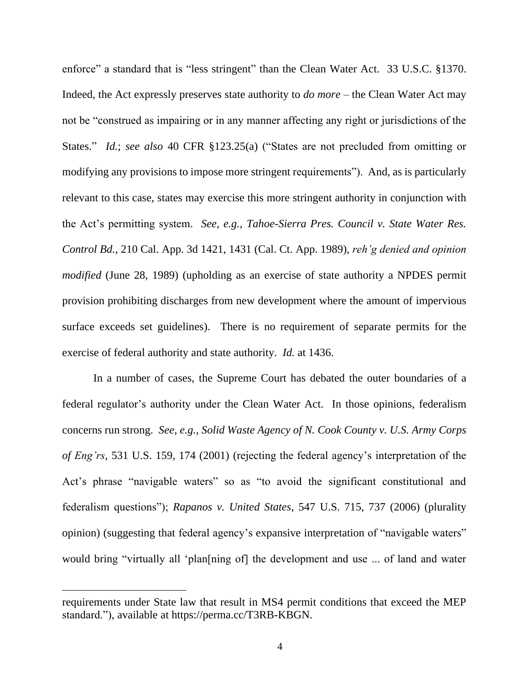enforce" a standard that is "less stringent" than the Clean Water Act. 33 U.S.C. §1370. Indeed, the Act expressly preserves state authority to *do more* – the Clean Water Act may not be "construed as impairing or in any manner affecting any right or jurisdictions of the States." *Id.*; *see also* 40 CFR §123.25(a) ("States are not precluded from omitting or modifying any provisions to impose more stringent requirements"). And, as is particularly relevant to this case, states may exercise this more stringent authority in conjunction with the Act's permitting system. *See, e.g.*, *Tahoe-Sierra Pres. Council v. State Water Res. Control Bd.*, 210 Cal. App. 3d 1421, 1431 (Cal. Ct. App. 1989), *reh'g denied and opinion modified* (June 28, 1989) (upholding as an exercise of state authority a NPDES permit provision prohibiting discharges from new development where the amount of impervious surface exceeds set guidelines). There is no requirement of separate permits for the exercise of federal authority and state authority. *Id.* at 1436.

In a number of cases, the Supreme Court has debated the outer boundaries of a federal regulator's authority under the Clean Water Act. In those opinions, federalism concerns run strong. *See, e.g.*, *Solid Waste Agency of N. Cook County v. U.S. Army Corps of Eng'rs*, 531 U.S. 159, 174 (2001) (rejecting the federal agency's interpretation of the Act's phrase "navigable waters" so as "to avoid the significant constitutional and federalism questions"); *Rapanos v. United States*, 547 U.S. 715, 737 (2006) (plurality opinion) (suggesting that federal agency's expansive interpretation of "navigable waters" would bring "virtually all 'plan[ning of] the development and use ... of land and water

requirements under State law that result in MS4 permit conditions that exceed the MEP standard."), available at https://perma.cc/T3RB-KBGN.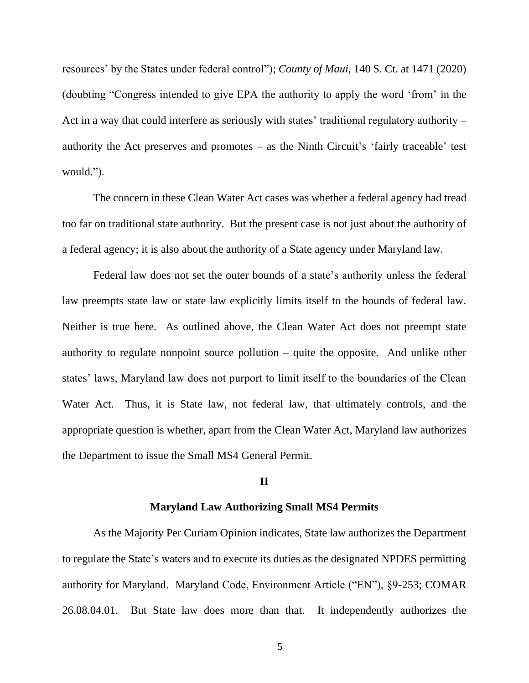resources' by the States under federal control"); *County of Maui*, 140 S. Ct. at 1471 (2020) (doubting "Congress intended to give EPA the authority to apply the word 'from' in the Act in a way that could interfere as seriously with states' traditional regulatory authority – authority the Act preserves and promotes – as the Ninth Circuit's 'fairly traceable' test would.").

The concern in these Clean Water Act cases was whether a federal agency had tread too far on traditional state authority. But the present case is not just about the authority of a federal agency; it is also about the authority of a State agency under Maryland law.

Federal law does not set the outer bounds of a state's authority unless the federal law preempts state law or state law explicitly limits itself to the bounds of federal law. Neither is true here. As outlined above, the Clean Water Act does not preempt state authority to regulate nonpoint source pollution – quite the opposite. And unlike other states' laws, Maryland law does not purport to limit itself to the boundaries of the Clean Water Act. Thus, it is State law, not federal law, that ultimately controls, and the appropriate question is whether, apart from the Clean Water Act, Maryland law authorizes the Department to issue the Small MS4 General Permit.

#### **II**

### **Maryland Law Authorizing Small MS4 Permits**

As the Majority Per Curiam Opinion indicates, State law authorizes the Department to regulate the State's waters and to execute its duties as the designated NPDES permitting authority for Maryland. Maryland Code, Environment Article ("EN"), §9-253; COMAR 26.08.04.01. But State law does more than that. It independently authorizes the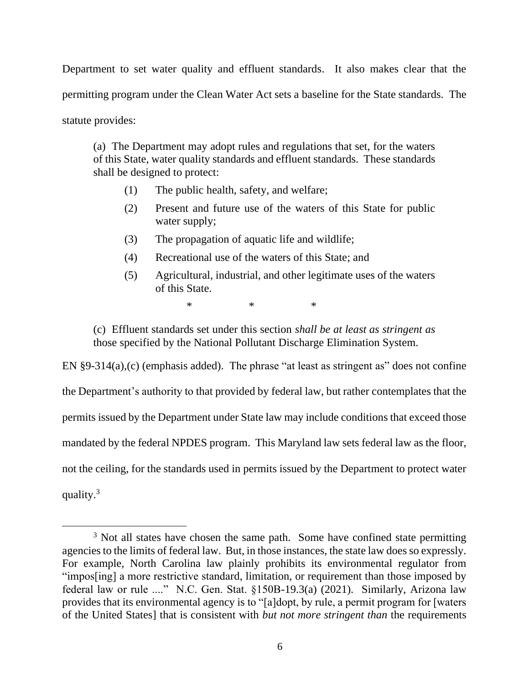Department to set water quality and effluent standards. It also makes clear that the permitting program under the Clean Water Act sets a baseline for the State standards. The statute provides:

(a) The Department may adopt rules and regulations that set, for the waters of this State, water quality standards and effluent standards. These standards shall be designed to protect:

- (1) The public health, safety, and welfare;
- (2) Present and future use of the waters of this State for public water supply;
- (3) The propagation of aquatic life and wildlife;
- (4) Recreational use of the waters of this State; and
- (5) Agricultural, industrial, and other legitimate uses of the waters of this State.

\* \* \*

(c) Effluent standards set under this section *shall be at least as stringent as* those specified by the National Pollutant Discharge Elimination System.

EN §9-314(a),(c) (emphasis added). The phrase "at least as stringent as" does not confine the Department's authority to that provided by federal law, but rather contemplates that the permits issued by the Department under State law may include conditions that exceed those mandated by the federal NPDES program. This Maryland law sets federal law as the floor, not the ceiling, for the standards used in permits issued by the Department to protect water quality. 3

<sup>&</sup>lt;sup>3</sup> Not all states have chosen the same path. Some have confined state permitting agencies to the limits of federal law. But, in those instances, the state law does so expressly. For example, North Carolina law plainly prohibits its environmental regulator from "impos[ing] a more restrictive standard, limitation, or requirement than those imposed by federal law or rule ...." N.C. Gen. Stat. §150B-19.3(a) (2021). Similarly, Arizona law provides that its environmental agency is to "[a]dopt, by rule, a permit program for [waters of the United States] that is consistent with *but not more stringent than* the requirements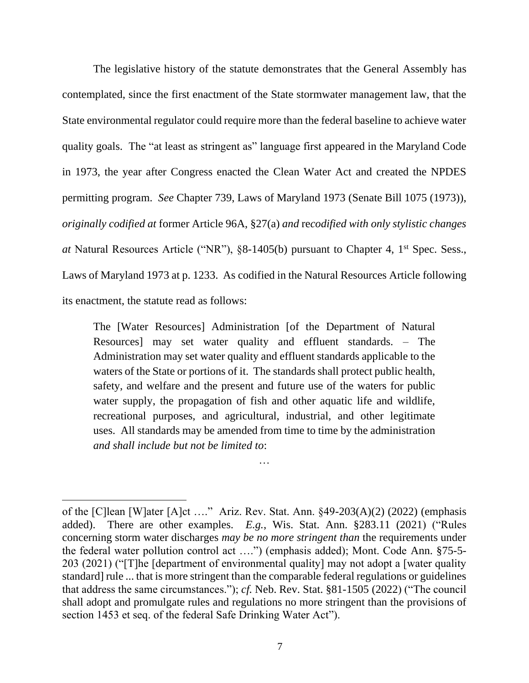The legislative history of the statute demonstrates that the General Assembly has contemplated, since the first enactment of the State stormwater management law, that the State environmental regulator could require more than the federal baseline to achieve water quality goals. The "at least as stringent as" language first appeared in the Maryland Code in 1973, the year after Congress enacted the Clean Water Act and created the NPDES permitting program. *See* Chapter 739, Laws of Maryland 1973 (Senate Bill 1075 (1973)), *originally codified at* former Article 96A, §27(a) *and* re*codified with only stylistic changes at* Natural Resources Article ("NR"), §8-1405(b) pursuant to Chapter 4, 1<sup>st</sup> Spec. Sess., Laws of Maryland 1973 at p. 1233. As codified in the Natural Resources Article following its enactment, the statute read as follows:

The [Water Resources] Administration [of the Department of Natural Resources] may set water quality and effluent standards. – The Administration may set water quality and effluent standards applicable to the waters of the State or portions of it. The standards shall protect public health, safety, and welfare and the present and future use of the waters for public water supply, the propagation of fish and other aquatic life and wildlife, recreational purposes, and agricultural, industrial, and other legitimate uses. All standards may be amended from time to time by the administration *and shall include but not be limited to*:

…

of the [C]lean [W]ater [A]ct …." Ariz. Rev. Stat. Ann. §49-203(A)(2) (2022) (emphasis added). There are other examples. *E.g.*, Wis. Stat. Ann. §283.11 (2021) ("Rules concerning storm water discharges *may be no more stringent than* the requirements under the federal water pollution control act ….") (emphasis added); Mont. Code Ann. §75-5- 203 (2021) ("[T]he [department of environmental quality] may not adopt a [water quality standard] rule ... that is more stringent than the comparable federal regulations or guidelines that address the same circumstances."); *cf.* Neb. Rev. Stat. §81-1505 (2022) ("The council shall adopt and promulgate rules and regulations no more stringent than the provisions of section 1453 et seq. of the federal Safe Drinking Water Act").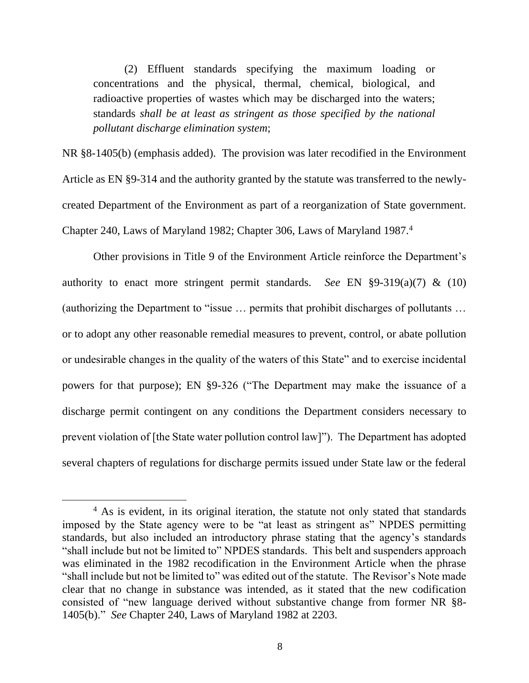(2) Effluent standards specifying the maximum loading or concentrations and the physical, thermal, chemical, biological, and radioactive properties of wastes which may be discharged into the waters; standards *shall be at least as stringent as those specified by the national pollutant discharge elimination system*;

NR §8-1405(b) (emphasis added). The provision was later recodified in the Environment Article as EN §9-314 and the authority granted by the statute was transferred to the newlycreated Department of the Environment as part of a reorganization of State government. Chapter 240, Laws of Maryland 1982; Chapter 306, Laws of Maryland 1987.<sup>4</sup>

Other provisions in Title 9 of the Environment Article reinforce the Department's authority to enact more stringent permit standards. *See* EN §9-319(a)(7) & (10) (authorizing the Department to "issue … permits that prohibit discharges of pollutants … or to adopt any other reasonable remedial measures to prevent, control, or abate pollution or undesirable changes in the quality of the waters of this State" and to exercise incidental powers for that purpose); EN §9-326 ("The Department may make the issuance of a discharge permit contingent on any conditions the Department considers necessary to prevent violation of [the State water pollution control law]"). The Department has adopted several chapters of regulations for discharge permits issued under State law or the federal

<sup>&</sup>lt;sup>4</sup> As is evident, in its original iteration, the statute not only stated that standards imposed by the State agency were to be "at least as stringent as" NPDES permitting standards, but also included an introductory phrase stating that the agency's standards "shall include but not be limited to" NPDES standards. This belt and suspenders approach was eliminated in the 1982 recodification in the Environment Article when the phrase "shall include but not be limited to" was edited out of the statute. The Revisor's Note made clear that no change in substance was intended, as it stated that the new codification consisted of "new language derived without substantive change from former NR §8- 1405(b)." *See* Chapter 240, Laws of Maryland 1982 at 2203.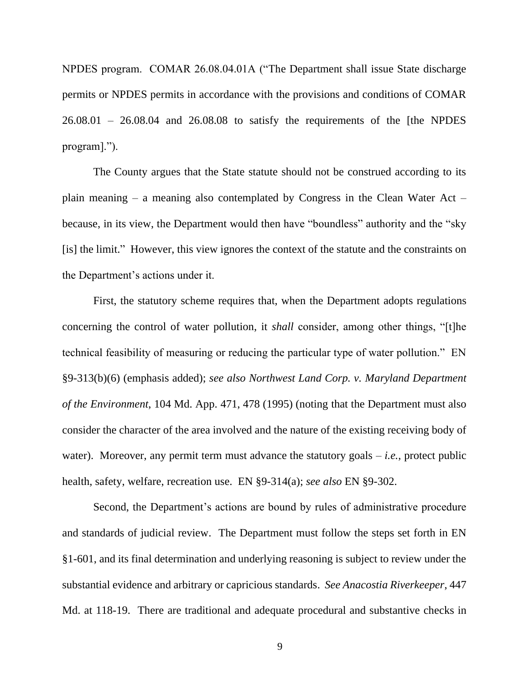NPDES program. COMAR 26.08.04.01A ("The Department shall issue State discharge permits or NPDES permits in accordance with the provisions and conditions of COMAR  $26.08.01 - 26.08.04$  and  $26.08.08$  to satisfy the requirements of the [the NPDES] program].").

The County argues that the State statute should not be construed according to its plain meaning – a meaning also contemplated by Congress in the Clean Water Act – because, in its view, the Department would then have "boundless" authority and the "sky [is] the limit." However, this view ignores the context of the statute and the constraints on the Department's actions under it.

First, the statutory scheme requires that, when the Department adopts regulations concerning the control of water pollution, it *shall* consider, among other things, "[t]he technical feasibility of measuring or reducing the particular type of water pollution." EN §9-313(b)(6) (emphasis added); *see also Northwest Land Corp. v. Maryland Department of the Environment*, 104 Md. App. 471, 478 (1995) (noting that the Department must also consider the character of the area involved and the nature of the existing receiving body of water). Moreover, any permit term must advance the statutory goals  $-i.e.,$  protect public health, safety, welfare, recreation use. EN §9-314(a); *see also* EN §9-302.

Second, the Department's actions are bound by rules of administrative procedure and standards of judicial review. The Department must follow the steps set forth in EN §1-601, and its final determination and underlying reasoning is subject to review under the substantial evidence and arbitrary or capricious standards. *See Anacostia Riverkeeper*, 447 Md. at 118-19. There are traditional and adequate procedural and substantive checks in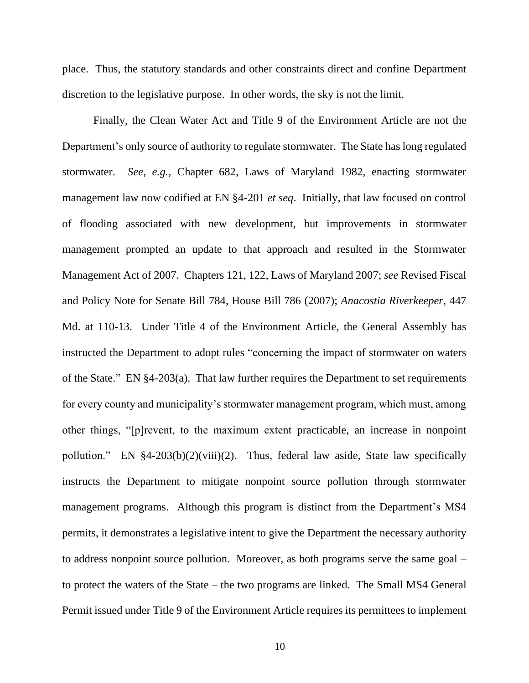place. Thus, the statutory standards and other constraints direct and confine Department discretion to the legislative purpose. In other words, the sky is not the limit.

Finally, the Clean Water Act and Title 9 of the Environment Article are not the Department's only source of authority to regulate stormwater. The State has long regulated stormwater. *See, e.g.*, Chapter 682, Laws of Maryland 1982, enacting stormwater management law now codified at EN §4-201 *et seq*. Initially, that law focused on control of flooding associated with new development, but improvements in stormwater management prompted an update to that approach and resulted in the Stormwater Management Act of 2007. Chapters 121, 122, Laws of Maryland 2007; *see* Revised Fiscal and Policy Note for Senate Bill 784, House Bill 786 (2007); *Anacostia Riverkeeper*, 447 Md. at 110-13. Under Title 4 of the Environment Article, the General Assembly has instructed the Department to adopt rules "concerning the impact of stormwater on waters of the State." EN §4-203(a). That law further requires the Department to set requirements for every county and municipality's stormwater management program, which must, among other things, "[p]revent, to the maximum extent practicable, an increase in nonpoint pollution." EN §4-203(b)(2)(viii)(2). Thus, federal law aside, State law specifically instructs the Department to mitigate nonpoint source pollution through stormwater management programs. Although this program is distinct from the Department's MS4 permits, it demonstrates a legislative intent to give the Department the necessary authority to address nonpoint source pollution. Moreover, as both programs serve the same goal – to protect the waters of the State – the two programs are linked. The Small MS4 General Permit issued under Title 9 of the Environment Article requires its permittees to implement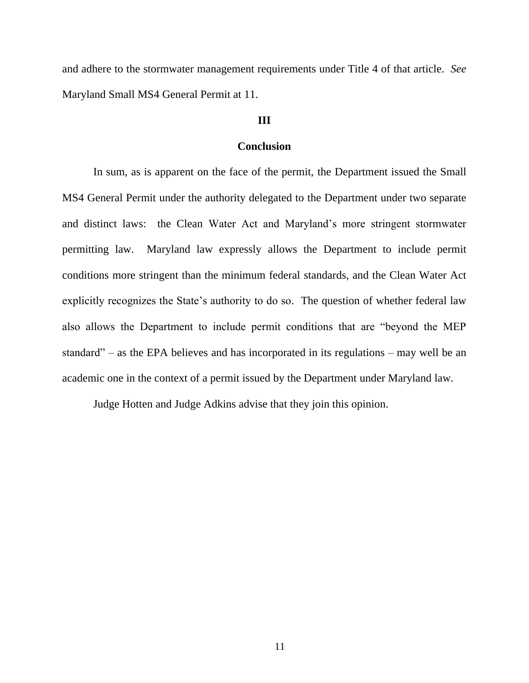and adhere to the stormwater management requirements under Title 4 of that article. *See* Maryland Small MS4 General Permit at 11.

# **III**

## **Conclusion**

In sum, as is apparent on the face of the permit, the Department issued the Small MS4 General Permit under the authority delegated to the Department under two separate and distinct laws: the Clean Water Act and Maryland's more stringent stormwater permitting law. Maryland law expressly allows the Department to include permit conditions more stringent than the minimum federal standards, and the Clean Water Act explicitly recognizes the State's authority to do so. The question of whether federal law also allows the Department to include permit conditions that are "beyond the MEP standard" – as the EPA believes and has incorporated in its regulations – may well be an academic one in the context of a permit issued by the Department under Maryland law.

Judge Hotten and Judge Adkins advise that they join this opinion.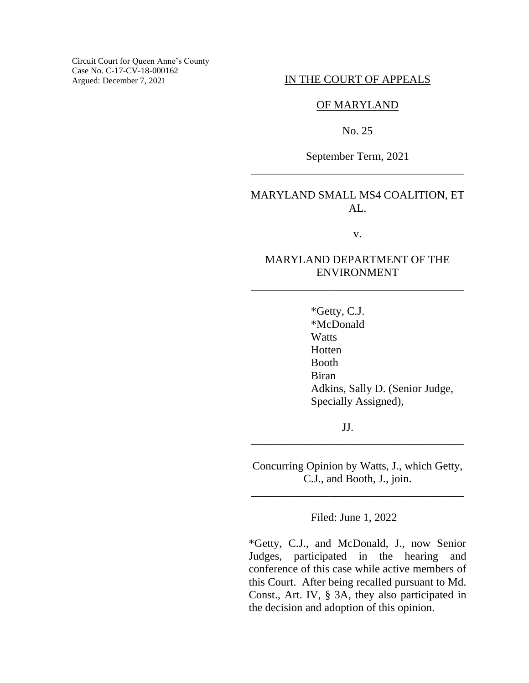Circuit Court for Queen Anne's County Case No. C-17-CV-18-000162 Argued: December 7, 2021

#### IN THE COURT OF APPEALS

### OF MARYLAND

No. 25

September Term, 2021 \_\_\_\_\_\_\_\_\_\_\_\_\_\_\_\_\_\_\_\_\_\_\_\_\_\_\_\_\_\_\_\_\_\_\_\_\_\_

# MARYLAND SMALL MS4 COALITION, ET  $AI_{\sim}$

v.

# MARYLAND DEPARTMENT OF THE ENVIRONMENT

\_\_\_\_\_\_\_\_\_\_\_\_\_\_\_\_\_\_\_\_\_\_\_\_\_\_\_\_\_\_\_\_\_\_\_\_\_\_

\*Getty, C.J. \*McDonald **Watts** Hotten Booth Biran Adkins, Sally D. (Senior Judge, Specially Assigned),

JJ.

Concurring Opinion by Watts, J., which Getty, C.J., and Booth, J., join.

\_\_\_\_\_\_\_\_\_\_\_\_\_\_\_\_\_\_\_\_\_\_\_\_\_\_\_\_\_\_\_\_\_\_\_\_\_\_

\_\_\_\_\_\_\_\_\_\_\_\_\_\_\_\_\_\_\_\_\_\_\_\_\_\_\_\_\_\_\_\_\_\_\_\_\_\_

Filed: June 1, 2022

\*Getty, C.J., and McDonald, J., now Senior Judges, participated in the hearing and conference of this case while active members of this Court. After being recalled pursuant to Md. Const., Art. IV, § 3A, they also participated in the decision and adoption of this opinion.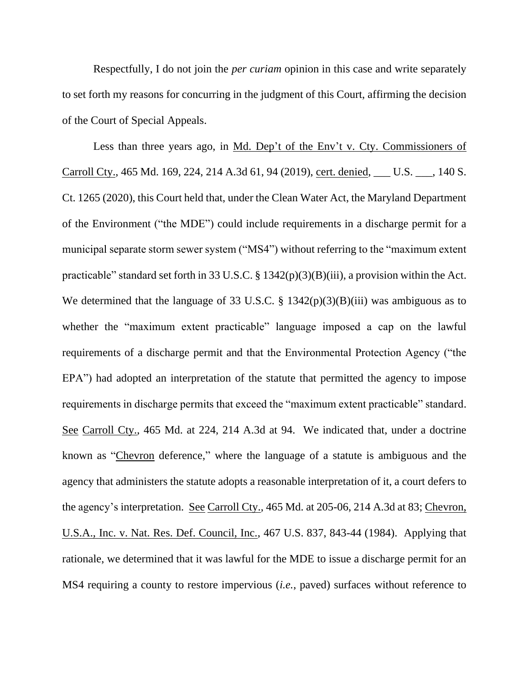Respectfully, I do not join the *per curiam* opinion in this case and write separately to set forth my reasons for concurring in the judgment of this Court, affirming the decision of the Court of Special Appeals.

Less than three years ago, in Md. Dep't of the Env't v. Cty. Commissioners of Carroll Cty., 465 Md. 169, 224, 214 A.3d 61, 94 (2019), cert. denied, \_\_\_ U.S. \_\_\_, 140 S. Ct. 1265 (2020), this Court held that, under the Clean Water Act, the Maryland Department of the Environment ("the MDE") could include requirements in a discharge permit for a municipal separate storm sewer system ("MS4") without referring to the "maximum extent practicable" standard set forth in 33 U.S.C. § 1342(p)(3)(B)(iii), a provision within the Act. We determined that the language of 33 U.S.C. § 1342(p)(3)(B)(iii) was ambiguous as to whether the "maximum extent practicable" language imposed a cap on the lawful requirements of a discharge permit and that the Environmental Protection Agency ("the EPA") had adopted an interpretation of the statute that permitted the agency to impose requirements in discharge permits that exceed the "maximum extent practicable" standard. See Carroll Cty., 465 Md. at 224, 214 A.3d at 94. We indicated that, under a doctrine known as "Chevron deference," where the language of a statute is ambiguous and the agency that administers the statute adopts a reasonable interpretation of it, a court defers to the agency's interpretation. See Carroll Cty., 465 Md. at 205-06, 214 A.3d at 83; Chevron, U.S.A., Inc. v. Nat. Res. Def. Council, Inc., 467 U.S. 837, 843-44 (1984). Applying that rationale, we determined that it was lawful for the MDE to issue a discharge permit for an MS4 requiring a county to restore impervious (*i.e.*, paved) surfaces without reference to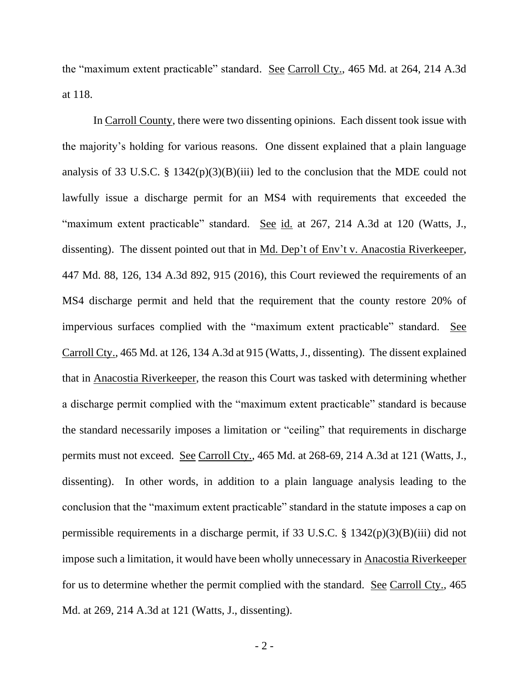the "maximum extent practicable" standard. See Carroll Cty., 465 Md. at 264, 214 A.3d at 118.

In Carroll County, there were two dissenting opinions. Each dissent took issue with the majority's holding for various reasons. One dissent explained that a plain language analysis of 33 U.S.C. § 1342(p)(3)(B)(iii) led to the conclusion that the MDE could not lawfully issue a discharge permit for an MS4 with requirements that exceeded the "maximum extent practicable" standard. See id. at 267, 214 A.3d at 120 (Watts, J., dissenting). The dissent pointed out that in Md. Dep't of Env't v. Anacostia Riverkeeper, 447 Md. 88, 126, 134 A.3d 892, 915 (2016), this Court reviewed the requirements of an MS4 discharge permit and held that the requirement that the county restore 20% of impervious surfaces complied with the "maximum extent practicable" standard. See Carroll Cty., 465 Md. at 126, 134 A.3d at 915 (Watts, J., dissenting). The dissent explained that in Anacostia Riverkeeper, the reason this Court was tasked with determining whether a discharge permit complied with the "maximum extent practicable" standard is because the standard necessarily imposes a limitation or "ceiling" that requirements in discharge permits must not exceed. See Carroll Cty., 465 Md. at 268-69, 214 A.3d at 121 (Watts, J., dissenting). In other words, in addition to a plain language analysis leading to the conclusion that the "maximum extent practicable" standard in the statute imposes a cap on permissible requirements in a discharge permit, if 33 U.S.C. § 1342(p)(3)(B)(iii) did not impose such a limitation, it would have been wholly unnecessary in Anacostia Riverkeeper for us to determine whether the permit complied with the standard. See Carroll Cty., 465 Md. at 269, 214 A.3d at 121 (Watts, J., dissenting).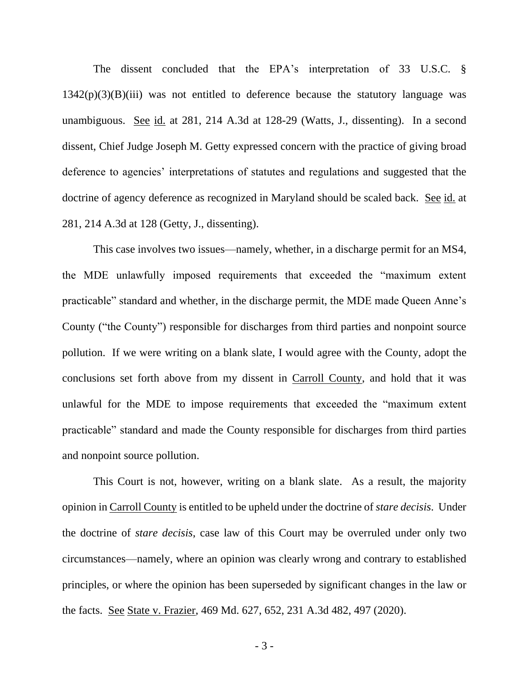The dissent concluded that the EPA's interpretation of 33 U.S.C. §  $1342(p)(3)(B)(iii)$  was not entitled to deference because the statutory language was unambiguous. See id. at 281, 214 A.3d at 128-29 (Watts, J., dissenting). In a second dissent, Chief Judge Joseph M. Getty expressed concern with the practice of giving broad deference to agencies' interpretations of statutes and regulations and suggested that the doctrine of agency deference as recognized in Maryland should be scaled back. See id. at 281, 214 A.3d at 128 (Getty, J., dissenting).

This case involves two issues—namely, whether, in a discharge permit for an MS4, the MDE unlawfully imposed requirements that exceeded the "maximum extent practicable" standard and whether, in the discharge permit, the MDE made Queen Anne's County ("the County") responsible for discharges from third parties and nonpoint source pollution. If we were writing on a blank slate, I would agree with the County, adopt the conclusions set forth above from my dissent in Carroll County, and hold that it was unlawful for the MDE to impose requirements that exceeded the "maximum extent practicable" standard and made the County responsible for discharges from third parties and nonpoint source pollution.

This Court is not, however, writing on a blank slate. As a result, the majority opinion in Carroll County is entitled to be upheld under the doctrine of *stare decisis*. Under the doctrine of *stare decisis*, case law of this Court may be overruled under only two circumstances—namely, where an opinion was clearly wrong and contrary to established principles, or where the opinion has been superseded by significant changes in the law or the facts. See State v. Frazier, 469 Md. 627, 652, 231 A.3d 482, 497 (2020).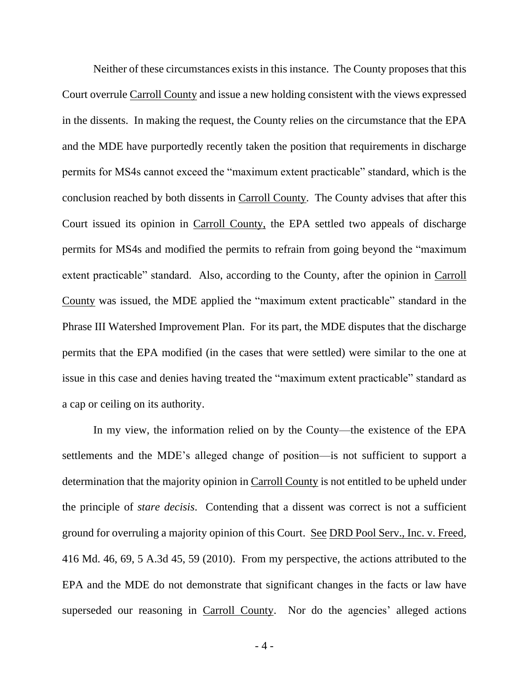Neither of these circumstances exists in this instance. The County proposes that this Court overrule Carroll County and issue a new holding consistent with the views expressed in the dissents. In making the request, the County relies on the circumstance that the EPA and the MDE have purportedly recently taken the position that requirements in discharge permits for MS4s cannot exceed the "maximum extent practicable" standard, which is the conclusion reached by both dissents in Carroll County. The County advises that after this Court issued its opinion in Carroll County, the EPA settled two appeals of discharge permits for MS4s and modified the permits to refrain from going beyond the "maximum extent practicable" standard. Also, according to the County, after the opinion in Carroll County was issued, the MDE applied the "maximum extent practicable" standard in the Phrase III Watershed Improvement Plan. For its part, the MDE disputes that the discharge permits that the EPA modified (in the cases that were settled) were similar to the one at issue in this case and denies having treated the "maximum extent practicable" standard as a cap or ceiling on its authority.

In my view, the information relied on by the County—the existence of the EPA settlements and the MDE's alleged change of position—is not sufficient to support a determination that the majority opinion in Carroll County is not entitled to be upheld under the principle of *stare decisis*. Contending that a dissent was correct is not a sufficient ground for overruling a majority opinion of this Court. See DRD Pool Serv., Inc. v. Freed, 416 Md. 46, 69, 5 A.3d 45, 59 (2010). From my perspective, the actions attributed to the EPA and the MDE do not demonstrate that significant changes in the facts or law have superseded our reasoning in Carroll County. Nor do the agencies' alleged actions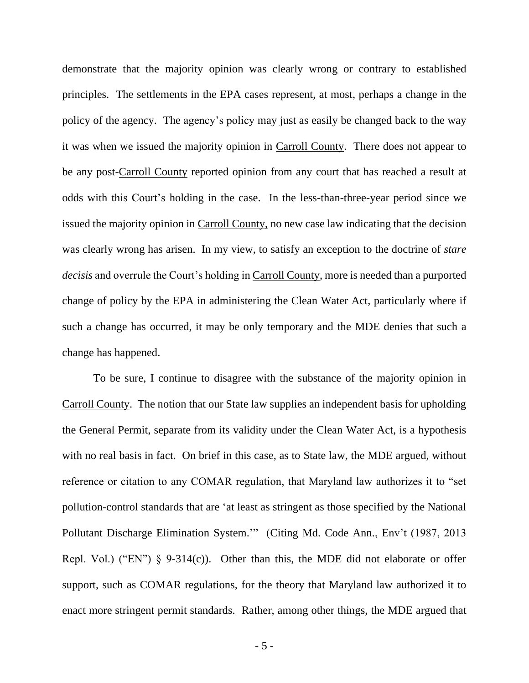demonstrate that the majority opinion was clearly wrong or contrary to established principles. The settlements in the EPA cases represent, at most, perhaps a change in the policy of the agency. The agency's policy may just as easily be changed back to the way it was when we issued the majority opinion in Carroll County. There does not appear to be any post-Carroll County reported opinion from any court that has reached a result at odds with this Court's holding in the case. In the less-than-three-year period since we issued the majority opinion in Carroll County, no new case law indicating that the decision was clearly wrong has arisen. In my view, to satisfy an exception to the doctrine of *stare decisis* and overrule the Court's holding in Carroll County, more is needed than a purported change of policy by the EPA in administering the Clean Water Act, particularly where if such a change has occurred, it may be only temporary and the MDE denies that such a change has happened.

To be sure, I continue to disagree with the substance of the majority opinion in Carroll County. The notion that our State law supplies an independent basis for upholding the General Permit, separate from its validity under the Clean Water Act, is a hypothesis with no real basis in fact. On brief in this case, as to State law, the MDE argued, without reference or citation to any COMAR regulation, that Maryland law authorizes it to "set pollution-control standards that are 'at least as stringent as those specified by the National Pollutant Discharge Elimination System.'" (Citing Md. Code Ann., Env't (1987, 2013 Repl. Vol.) ("EN")  $\S$  9-314(c)). Other than this, the MDE did not elaborate or offer support, such as COMAR regulations, for the theory that Maryland law authorized it to enact more stringent permit standards. Rather, among other things, the MDE argued that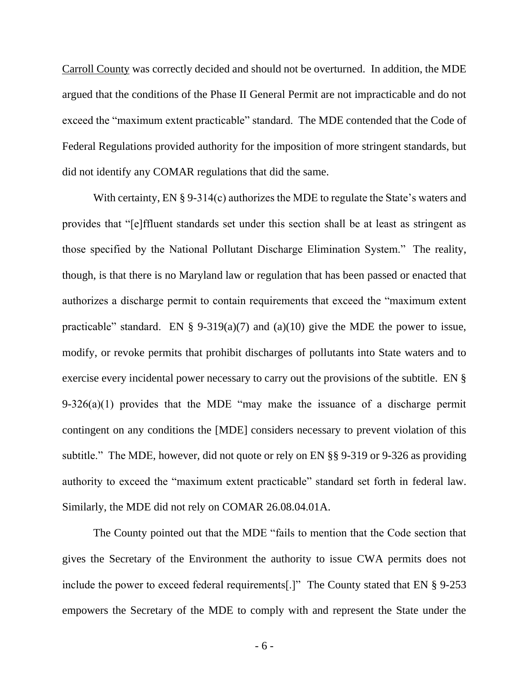Carroll County was correctly decided and should not be overturned. In addition, the MDE argued that the conditions of the Phase II General Permit are not impracticable and do not exceed the "maximum extent practicable" standard. The MDE contended that the Code of Federal Regulations provided authority for the imposition of more stringent standards, but did not identify any COMAR regulations that did the same.

With certainty, EN § 9-314(c) authorizes the MDE to regulate the State's waters and provides that "[e]ffluent standards set under this section shall be at least as stringent as those specified by the National Pollutant Discharge Elimination System." The reality, though, is that there is no Maryland law or regulation that has been passed or enacted that authorizes a discharge permit to contain requirements that exceed the "maximum extent practicable" standard. EN § 9-319(a)(7) and (a)(10) give the MDE the power to issue, modify, or revoke permits that prohibit discharges of pollutants into State waters and to exercise every incidental power necessary to carry out the provisions of the subtitle. EN § 9-326(a)(1) provides that the MDE "may make the issuance of a discharge permit contingent on any conditions the [MDE] considers necessary to prevent violation of this subtitle." The MDE, however, did not quote or rely on EN §§ 9-319 or 9-326 as providing authority to exceed the "maximum extent practicable" standard set forth in federal law. Similarly, the MDE did not rely on COMAR 26.08.04.01A.

The County pointed out that the MDE "fails to mention that the Code section that gives the Secretary of the Environment the authority to issue CWA permits does not include the power to exceed federal requirements[.]" The County stated that EN § 9-253 empowers the Secretary of the MDE to comply with and represent the State under the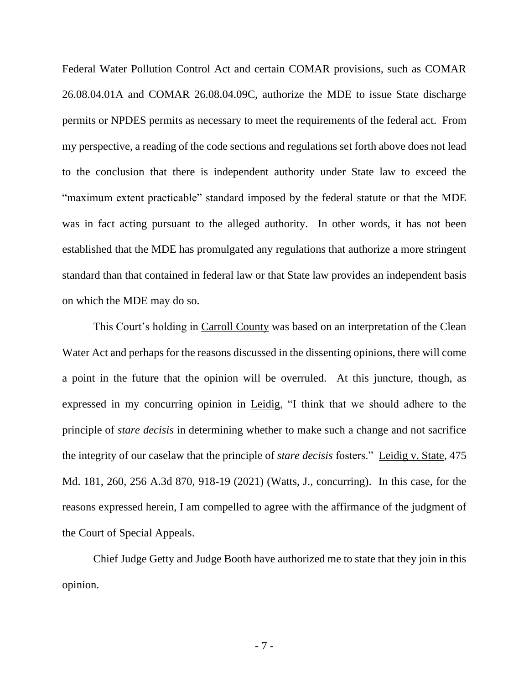Federal Water Pollution Control Act and certain COMAR provisions, such as COMAR 26.08.04.01A and COMAR 26.08.04.09C, authorize the MDE to issue State discharge permits or NPDES permits as necessary to meet the requirements of the federal act. From my perspective, a reading of the code sections and regulations set forth above does not lead to the conclusion that there is independent authority under State law to exceed the "maximum extent practicable" standard imposed by the federal statute or that the MDE was in fact acting pursuant to the alleged authority. In other words, it has not been established that the MDE has promulgated any regulations that authorize a more stringent standard than that contained in federal law or that State law provides an independent basis on which the MDE may do so.

This Court's holding in Carroll County was based on an interpretation of the Clean Water Act and perhaps for the reasons discussed in the dissenting opinions, there will come a point in the future that the opinion will be overruled. At this juncture, though, as expressed in my concurring opinion in Leidig, "I think that we should adhere to the principle of *stare decisis* in determining whether to make such a change and not sacrifice the integrity of our caselaw that the principle of *stare decisis* fosters." Leidig v. State, 475 Md. 181, 260, 256 A.3d 870, 918-19 (2021) (Watts, J., concurring). In this case, for the reasons expressed herein, I am compelled to agree with the affirmance of the judgment of the Court of Special Appeals.

Chief Judge Getty and Judge Booth have authorized me to state that they join in this opinion.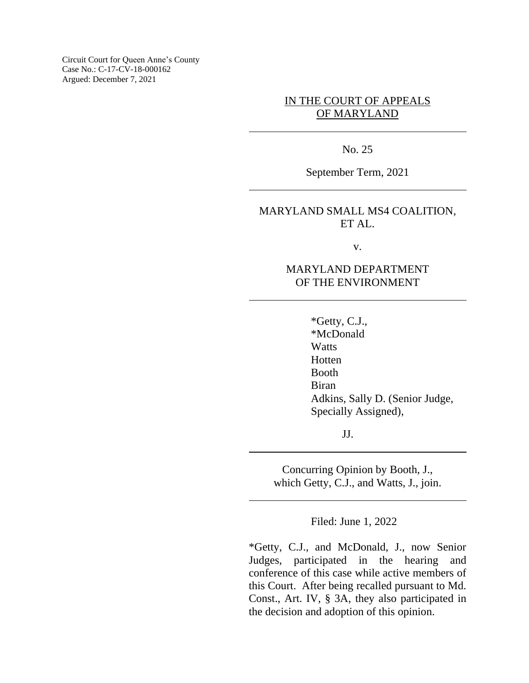Circuit Court for Queen Anne's County Case No.: C-17-CV-18-000162 Argued: December 7, 2021

# IN THE COURT OF APPEALS OF MARYLAND

No. 25

September Term, 2021

# MARYLAND SMALL MS4 COALITION, ET AL.

v.

# MARYLAND DEPARTMENT OF THE ENVIRONMENT

\*Getty, C.J., \*McDonald **Watts** Hotten Booth Biran Adkins, Sally D. (Senior Judge, Specially Assigned),

JJ.

Concurring Opinion by Booth, J., which Getty, C.J., and Watts, J., join.

Filed: June 1, 2022

\*Getty, C.J., and McDonald, J., now Senior Judges, participated in the hearing and conference of this case while active members of this Court. After being recalled pursuant to Md. Const., Art. IV, § 3A, they also participated in the decision and adoption of this opinion.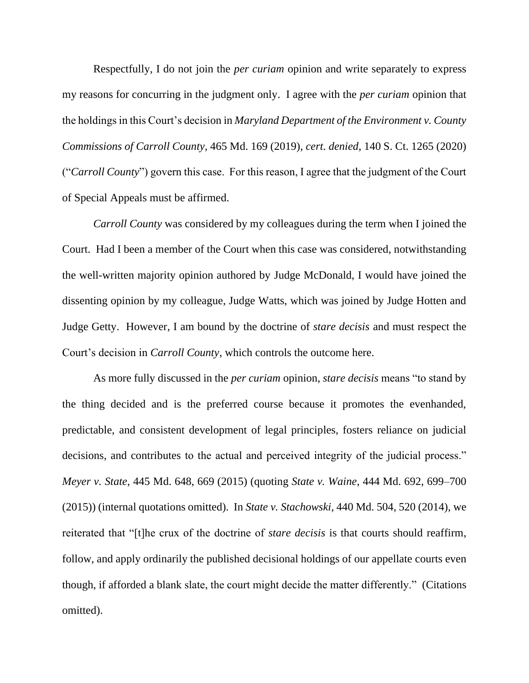Respectfully, I do not join the *per curiam* opinion and write separately to express my reasons for concurring in the judgment only. I agree with the *per curiam* opinion that the holdings in this Court's decision in *Maryland Department of the Environment v. County Commissions of Carroll County*, 465 Md. 169 (2019), *cert. denied*, 140 S. Ct. 1265 (2020) ("*Carroll County*") govern this case. For this reason, I agree that the judgment of the Court of Special Appeals must be affirmed.

*Carroll County* was considered by my colleagues during the term when I joined the Court. Had I been a member of the Court when this case was considered, notwithstanding the well-written majority opinion authored by Judge McDonald, I would have joined the dissenting opinion by my colleague, Judge Watts, which was joined by Judge Hotten and Judge Getty. However, I am bound by the doctrine of *stare decisis* and must respect the Court's decision in *Carroll County*, which controls the outcome here.

As more fully discussed in the *per curiam* opinion, *stare decisis* means "to stand by the thing decided and is the preferred course because it promotes the evenhanded, predictable, and consistent development of legal principles, fosters reliance on judicial decisions, and contributes to the actual and perceived integrity of the judicial process." *Meyer v. State*, 445 Md. 648, 669 (2015) (quoting *State v. Waine*, 444 Md. 692, 699–700 (2015)) (internal quotations omitted). In *State v. Stachowski*, 440 Md. 504, 520 (2014), we reiterated that "[t]he crux of the doctrine of *stare decisis* is that courts should reaffirm, follow, and apply ordinarily the published decisional holdings of our appellate courts even though, if afforded a blank slate, the court might decide the matter differently." (Citations omitted).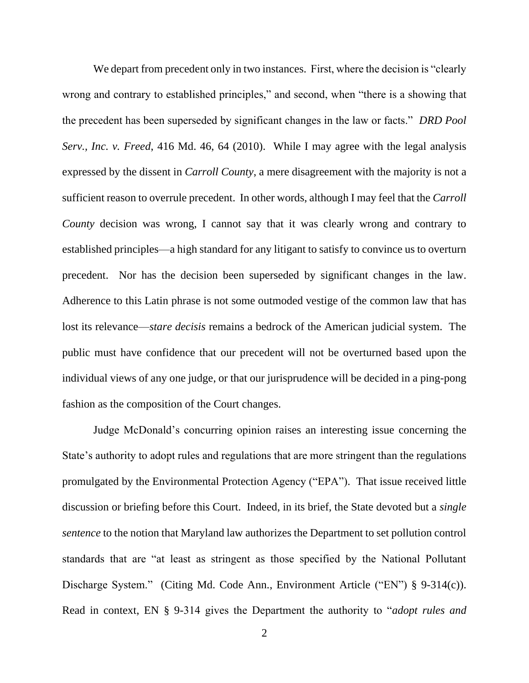We depart from precedent only in two instances. First, where the decision is "clearly wrong and contrary to established principles," and second, when "there is a showing that the precedent has been superseded by significant changes in the law or facts." *DRD Pool Serv., Inc. v. Freed*, 416 Md. 46, 64 (2010). While I may agree with the legal analysis expressed by the dissent in *Carroll County*, a mere disagreement with the majority is not a sufficient reason to overrule precedent. In other words, although I may feel that the *Carroll County* decision was wrong, I cannot say that it was clearly wrong and contrary to established principles—a high standard for any litigant to satisfy to convince us to overturn precedent. Nor has the decision been superseded by significant changes in the law. Adherence to this Latin phrase is not some outmoded vestige of the common law that has lost its relevance—*stare decisis* remains a bedrock of the American judicial system. The public must have confidence that our precedent will not be overturned based upon the individual views of any one judge, or that our jurisprudence will be decided in a ping-pong fashion as the composition of the Court changes.

Judge McDonald's concurring opinion raises an interesting issue concerning the State's authority to adopt rules and regulations that are more stringent than the regulations promulgated by the Environmental Protection Agency ("EPA"). That issue received little discussion or briefing before this Court. Indeed, in its brief, the State devoted but a *single sentence* to the notion that Maryland law authorizes the Department to set pollution control standards that are "at least as stringent as those specified by the National Pollutant Discharge System." (Citing Md. Code Ann., Environment Article ("EN") § 9-314(c)). Read in context, EN § 9-314 gives the Department the authority to "*adopt rules and*